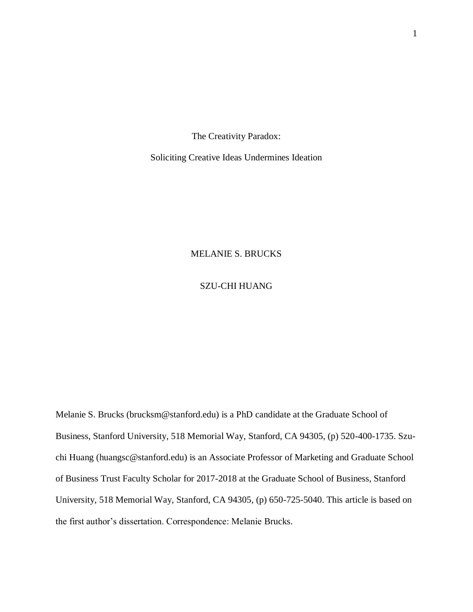The Creativity Paradox:

Soliciting Creative Ideas Undermines Ideation

## MELANIE S. BRUCKS

## SZU-CHI HUANG

Melanie S. Brucks (brucksm@stanford.edu) is a PhD candidate at the Graduate School of Business, Stanford University, 518 Memorial Way, Stanford, CA 94305, (p) 520-400-1735. Szuchi Huang (huangsc@stanford.edu) is an Associate Professor of Marketing and Graduate School of Business Trust Faculty Scholar for 2017-2018 at the Graduate School of Business, Stanford University, 518 Memorial Way, Stanford, CA 94305, (p) 650-725-5040. This article is based on the first author's dissertation. Correspondence: Melanie Brucks.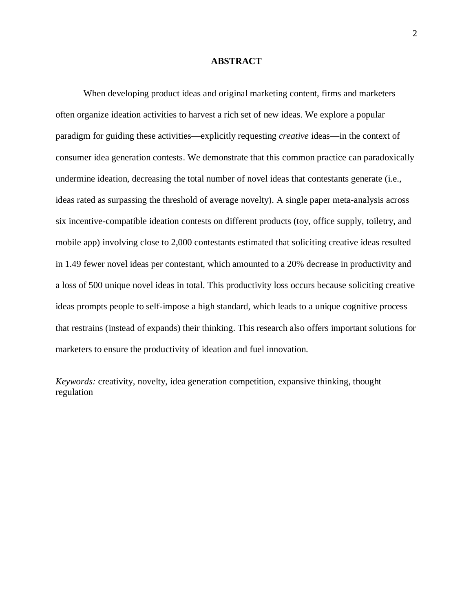### **ABSTRACT**

When developing product ideas and original marketing content, firms and marketers often organize ideation activities to harvest a rich set of new ideas. We explore a popular paradigm for guiding these activities—explicitly requesting *creative* ideas—in the context of consumer idea generation contests. We demonstrate that this common practice can paradoxically undermine ideation, decreasing the total number of novel ideas that contestants generate (i.e., ideas rated as surpassing the threshold of average novelty). A single paper meta-analysis across six incentive-compatible ideation contests on different products (toy, office supply, toiletry, and mobile app) involving close to 2,000 contestants estimated that soliciting creative ideas resulted in 1.49 fewer novel ideas per contestant, which amounted to a 20% decrease in productivity and a loss of 500 unique novel ideas in total. This productivity loss occurs because soliciting creative ideas prompts people to self-impose a high standard, which leads to a unique cognitive process that restrains (instead of expands) their thinking. This research also offers important solutions for marketers to ensure the productivity of ideation and fuel innovation.

*Keywords:* creativity, novelty, idea generation competition, expansive thinking, thought regulation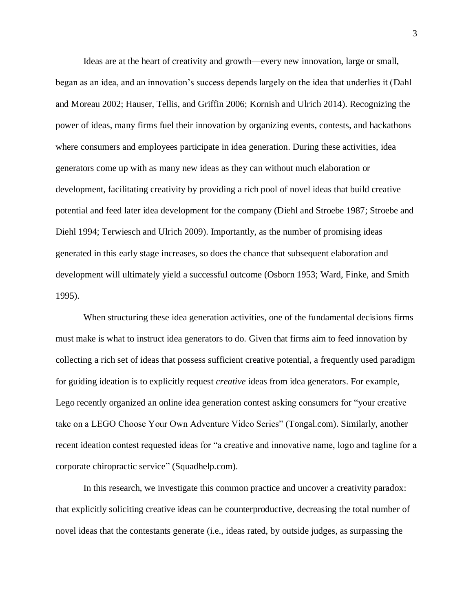Ideas are at the heart of creativity and growth—every new innovation, large or small, began as an idea, and an innovation's success depends largely on the idea that underlies it (Dahl and Moreau 2002; Hauser, Tellis, and Griffin 2006; Kornish and Ulrich 2014). Recognizing the power of ideas, many firms fuel their innovation by organizing events, contests, and hackathons where consumers and employees participate in idea generation. During these activities, idea generators come up with as many new ideas as they can without much elaboration or development, facilitating creativity by providing a rich pool of novel ideas that build creative potential and feed later idea development for the company (Diehl and Stroebe 1987; Stroebe and Diehl 1994; Terwiesch and Ulrich 2009). Importantly, as the number of promising ideas generated in this early stage increases, so does the chance that subsequent elaboration and development will ultimately yield a successful outcome (Osborn 1953; Ward, Finke, and Smith 1995).

When structuring these idea generation activities, one of the fundamental decisions firms must make is what to instruct idea generators to do. Given that firms aim to feed innovation by collecting a rich set of ideas that possess sufficient creative potential, a frequently used paradigm for guiding ideation is to explicitly request *creative* ideas from idea generators. For example, Lego recently organized an online idea generation contest asking consumers for "your creative take on a LEGO Choose Your Own Adventure Video Series" (Tongal.com). Similarly, another recent ideation contest requested ideas for "a creative and innovative name, logo and tagline for a corporate chiropractic service" (Squadhelp.com).

In this research, we investigate this common practice and uncover a creativity paradox: that explicitly soliciting creative ideas can be counterproductive, decreasing the total number of novel ideas that the contestants generate (i.e., ideas rated, by outside judges, as surpassing the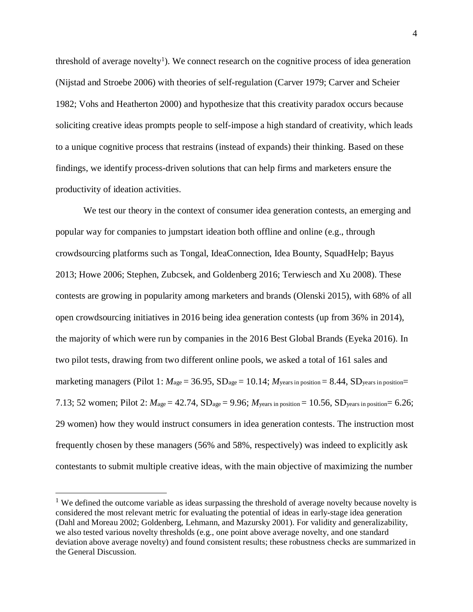threshold of average novelty<sup>1</sup>). We connect research on the cognitive process of idea generation (Nijstad and Stroebe 2006) with theories of self-regulation (Carver 1979; Carver and Scheier 1982; Vohs and Heatherton 2000) and hypothesize that this creativity paradox occurs because soliciting creative ideas prompts people to self-impose a high standard of creativity, which leads to a unique cognitive process that restrains (instead of expands) their thinking. Based on these findings, we identify process-driven solutions that can help firms and marketers ensure the productivity of ideation activities.

We test our theory in the context of consumer idea generation contests, an emerging and popular way for companies to jumpstart ideation both offline and online (e.g., through crowdsourcing platforms such as Tongal, IdeaConnection, Idea Bounty, SquadHelp; Bayus 2013; Howe 2006; Stephen, Zubcsek, and Goldenberg 2016; Terwiesch and Xu 2008). These contests are growing in popularity among marketers and brands (Olenski 2015), with 68% of all open crowdsourcing initiatives in 2016 being idea generation contests (up from 36% in 2014), the majority of which were run by companies in the 2016 Best Global Brands (Eyeka 2016). In two pilot tests, drawing from two different online pools, we asked a total of 161 sales and marketing managers (Pilot 1:  $M_{\text{age}} = 36.95$ ,  $SD_{\text{age}} = 10.14$ ;  $M_{\text{years in position}} = 8.44$ ,  $SD_{\text{years in position}} =$ 7.13; 52 women; Pilot 2: *M*age = 42.74, SDage = 9.96; *M*years in position = 10.56, SDyears in position= 6.26; 29 women) how they would instruct consumers in idea generation contests. The instruction most frequently chosen by these managers (56% and 58%, respectively) was indeed to explicitly ask contestants to submit multiple creative ideas, with the main objective of maximizing the number

 $\overline{a}$ 

<sup>&</sup>lt;sup>1</sup> We defined the outcome variable as ideas surpassing the threshold of average novelty because novelty is considered the most relevant metric for evaluating the potential of ideas in early-stage idea generation (Dahl and Moreau 2002; Goldenberg, Lehmann, and Mazursky 2001). For validity and generalizability, we also tested various novelty thresholds (e.g., one point above average novelty, and one standard deviation above average novelty) and found consistent results; these robustness checks are summarized in the General Discussion.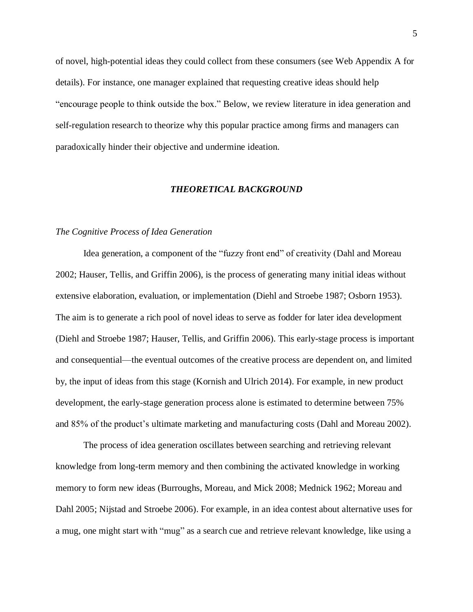of novel, high-potential ideas they could collect from these consumers (see Web Appendix A for details). For instance, one manager explained that requesting creative ideas should help "encourage people to think outside the box." Below, we review literature in idea generation and self-regulation research to theorize why this popular practice among firms and managers can paradoxically hinder their objective and undermine ideation.

### *THEORETICAL BACKGROUND*

### *The Cognitive Process of Idea Generation*

Idea generation, a component of the "fuzzy front end" of creativity (Dahl and Moreau 2002; Hauser, Tellis, and Griffin 2006), is the process of generating many initial ideas without extensive elaboration, evaluation, or implementation (Diehl and Stroebe 1987; Osborn 1953). The aim is to generate a rich pool of novel ideas to serve as fodder for later idea development (Diehl and Stroebe 1987; Hauser, Tellis, and Griffin 2006). This early-stage process is important and consequential—the eventual outcomes of the creative process are dependent on, and limited by, the input of ideas from this stage (Kornish and Ulrich 2014). For example, in new product development, the early-stage generation process alone is estimated to determine between 75% and 85% of the product's ultimate marketing and manufacturing costs (Dahl and Moreau 2002).

The process of idea generation oscillates between searching and retrieving relevant knowledge from long-term memory and then combining the activated knowledge in working memory to form new ideas (Burroughs, Moreau, and Mick 2008; Mednick 1962; Moreau and Dahl 2005; Nijstad and Stroebe 2006). For example, in an idea contest about alternative uses for a mug, one might start with "mug" as a search cue and retrieve relevant knowledge, like using a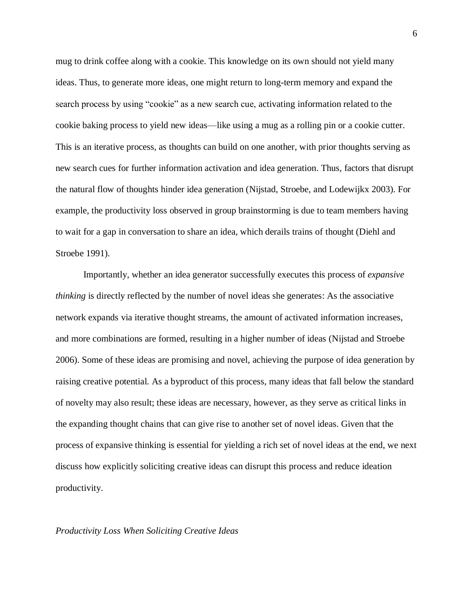mug to drink coffee along with a cookie. This knowledge on its own should not yield many ideas. Thus, to generate more ideas, one might return to long-term memory and expand the search process by using "cookie" as a new search cue, activating information related to the cookie baking process to yield new ideas—like using a mug as a rolling pin or a cookie cutter. This is an iterative process, as thoughts can build on one another, with prior thoughts serving as new search cues for further information activation and idea generation. Thus, factors that disrupt the natural flow of thoughts hinder idea generation (Nijstad, Stroebe, and Lodewijkx 2003). For example, the productivity loss observed in group brainstorming is due to team members having to wait for a gap in conversation to share an idea, which derails trains of thought (Diehl and Stroebe 1991).

Importantly, whether an idea generator successfully executes this process of *expansive thinking* is directly reflected by the number of novel ideas she generates: As the associative network expands via iterative thought streams, the amount of activated information increases, and more combinations are formed, resulting in a higher number of ideas (Nijstad and Stroebe 2006). Some of these ideas are promising and novel, achieving the purpose of idea generation by raising creative potential. As a byproduct of this process, many ideas that fall below the standard of novelty may also result; these ideas are necessary, however, as they serve as critical links in the expanding thought chains that can give rise to another set of novel ideas. Given that the process of expansive thinking is essential for yielding a rich set of novel ideas at the end, we next discuss how explicitly soliciting creative ideas can disrupt this process and reduce ideation productivity.

### *Productivity Loss When Soliciting Creative Ideas*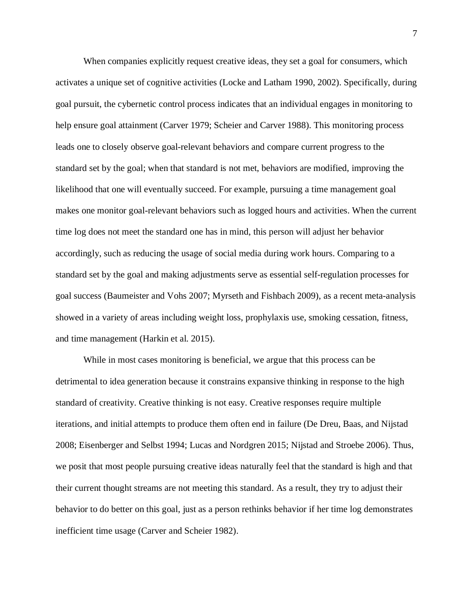When companies explicitly request creative ideas, they set a goal for consumers, which activates a unique set of cognitive activities (Locke and Latham 1990, 2002). Specifically, during goal pursuit, the cybernetic control process indicates that an individual engages in monitoring to help ensure goal attainment (Carver 1979; Scheier and Carver 1988). This monitoring process leads one to closely observe goal-relevant behaviors and compare current progress to the standard set by the goal; when that standard is not met, behaviors are modified, improving the likelihood that one will eventually succeed. For example, pursuing a time management goal makes one monitor goal-relevant behaviors such as logged hours and activities. When the current time log does not meet the standard one has in mind, this person will adjust her behavior accordingly, such as reducing the usage of social media during work hours. Comparing to a standard set by the goal and making adjustments serve as essential self-regulation processes for goal success (Baumeister and Vohs 2007; Myrseth and Fishbach 2009), as a recent meta-analysis showed in a variety of areas including weight loss, prophylaxis use, smoking cessation, fitness, and time management (Harkin et al. 2015).

While in most cases monitoring is beneficial, we argue that this process can be detrimental to idea generation because it constrains expansive thinking in response to the high standard of creativity. Creative thinking is not easy. Creative responses require multiple iterations, and initial attempts to produce them often end in failure (De Dreu, Baas, and Nijstad 2008; Eisenberger and Selbst 1994; Lucas and Nordgren 2015; Nijstad and Stroebe 2006). Thus, we posit that most people pursuing creative ideas naturally feel that the standard is high and that their current thought streams are not meeting this standard. As a result, they try to adjust their behavior to do better on this goal, just as a person rethinks behavior if her time log demonstrates inefficient time usage (Carver and Scheier 1982).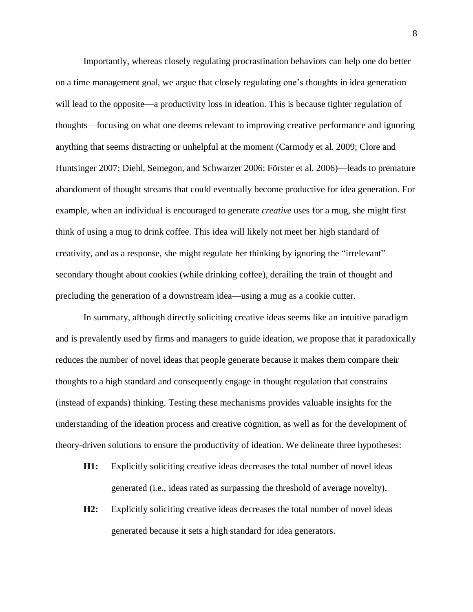Importantly, whereas closely regulating procrastination behaviors can help one do better on a time management goal, we argue that closely regulating one's thoughts in idea generation will lead to the opposite—a productivity loss in ideation. This is because tighter regulation of thoughts—focusing on what one deems relevant to improving creative performance and ignoring anything that seems distracting or unhelpful at the moment (Carmody et al. 2009; Clore and Huntsinger 2007; Diehl, Semegon, and Schwarzer 2006; Förster et al. 2006)—leads to premature abandoment of thought streams that could eventually become productive for idea generation. For example, when an individual is encouraged to generate *creative* uses for a mug, she might first think of using a mug to drink coffee. This idea will likely not meet her high standard of creativity, and as a response, she might regulate her thinking by ignoring the "irrelevant" secondary thought about cookies (while drinking coffee), derailing the train of thought and precluding the generation of a downstream idea—using a mug as a cookie cutter.

In summary, although directly soliciting creative ideas seems like an intuitive paradigm and is prevalently used by firms and managers to guide ideation, we propose that it paradoxically reduces the number of novel ideas that people generate because it makes them compare their thoughts to a high standard and consequently engage in thought regulation that constrains (instead of expands) thinking. Testing these mechanisms provides valuable insights for the understanding of the ideation process and creative cognition, as well as for the development of theory-driven solutions to ensure the productivity of ideation. We delineate three hypotheses:

- **H1:** Explicitly soliciting creative ideas decreases the total number of novel ideas generated (i.e., ideas rated as surpassing the threshold of average novelty).
- **H2:** Explicitly soliciting creative ideas decreases the total number of novel ideas generated because it sets a high standard for idea generators.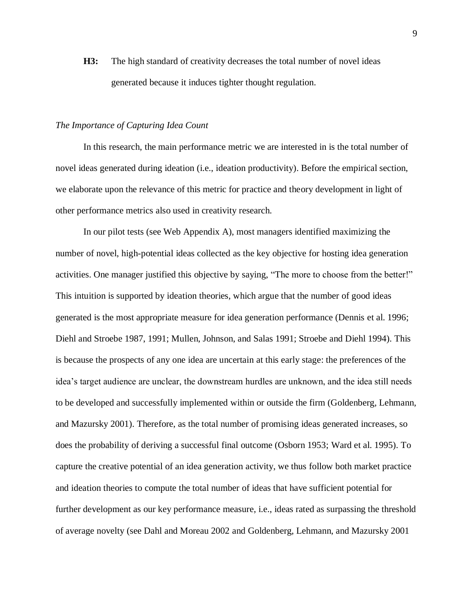**H3:** The high standard of creativity decreases the total number of novel ideas generated because it induces tighter thought regulation.

### *The Importance of Capturing Idea Count*

In this research, the main performance metric we are interested in is the total number of novel ideas generated during ideation (i.e., ideation productivity). Before the empirical section, we elaborate upon the relevance of this metric for practice and theory development in light of other performance metrics also used in creativity research.

In our pilot tests (see Web Appendix A), most managers identified maximizing the number of novel, high-potential ideas collected as the key objective for hosting idea generation activities. One manager justified this objective by saying, "The more to choose from the better!" This intuition is supported by ideation theories, which argue that the number of good ideas generated is the most appropriate measure for idea generation performance (Dennis et al. 1996; Diehl and Stroebe 1987, 1991; Mullen, Johnson, and Salas 1991; Stroebe and Diehl 1994). This is because the prospects of any one idea are uncertain at this early stage: the preferences of the idea's target audience are unclear, the downstream hurdles are unknown, and the idea still needs to be developed and successfully implemented within or outside the firm (Goldenberg, Lehmann, and Mazursky 2001). Therefore, as the total number of promising ideas generated increases, so does the probability of deriving a successful final outcome (Osborn 1953; Ward et al. 1995). To capture the creative potential of an idea generation activity, we thus follow both market practice and ideation theories to compute the total number of ideas that have sufficient potential for further development as our key performance measure, i.e., ideas rated as surpassing the threshold of average novelty (see Dahl and Moreau 2002 and Goldenberg, Lehmann, and Mazursky 2001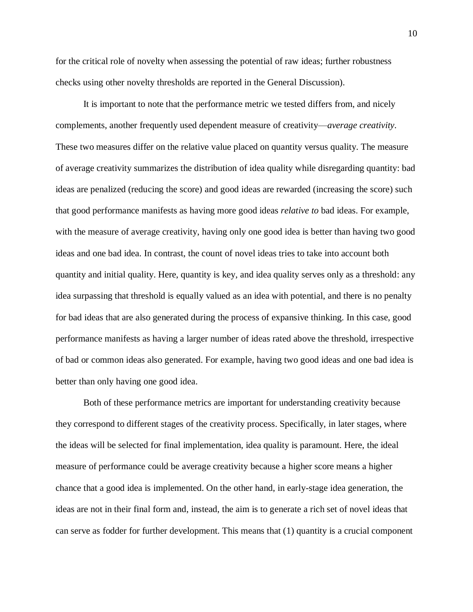for the critical role of novelty when assessing the potential of raw ideas; further robustness checks using other novelty thresholds are reported in the General Discussion).

It is important to note that the performance metric we tested differs from, and nicely complements, another frequently used dependent measure of creativity—*average creativity*. These two measures differ on the relative value placed on quantity versus quality. The measure of average creativity summarizes the distribution of idea quality while disregarding quantity: bad ideas are penalized (reducing the score) and good ideas are rewarded (increasing the score) such that good performance manifests as having more good ideas *relative to* bad ideas. For example, with the measure of average creativity, having only one good idea is better than having two good ideas and one bad idea. In contrast, the count of novel ideas tries to take into account both quantity and initial quality. Here, quantity is key, and idea quality serves only as a threshold: any idea surpassing that threshold is equally valued as an idea with potential, and there is no penalty for bad ideas that are also generated during the process of expansive thinking. In this case, good performance manifests as having a larger number of ideas rated above the threshold, irrespective of bad or common ideas also generated. For example, having two good ideas and one bad idea is better than only having one good idea.

Both of these performance metrics are important for understanding creativity because they correspond to different stages of the creativity process. Specifically, in later stages, where the ideas will be selected for final implementation, idea quality is paramount. Here, the ideal measure of performance could be average creativity because a higher score means a higher chance that a good idea is implemented. On the other hand, in early-stage idea generation, the ideas are not in their final form and, instead, the aim is to generate a rich set of novel ideas that can serve as fodder for further development. This means that (1) quantity is a crucial component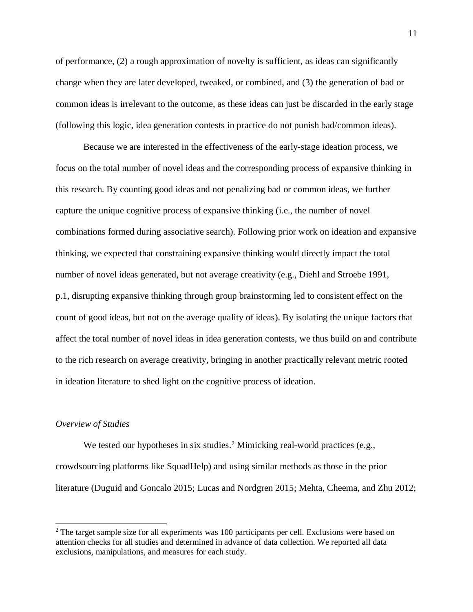of performance, (2) a rough approximation of novelty is sufficient, as ideas can significantly change when they are later developed, tweaked, or combined, and (3) the generation of bad or common ideas is irrelevant to the outcome, as these ideas can just be discarded in the early stage (following this logic, idea generation contests in practice do not punish bad/common ideas).

Because we are interested in the effectiveness of the early-stage ideation process, we focus on the total number of novel ideas and the corresponding process of expansive thinking in this research. By counting good ideas and not penalizing bad or common ideas, we further capture the unique cognitive process of expansive thinking (i.e., the number of novel combinations formed during associative search). Following prior work on ideation and expansive thinking, we expected that constraining expansive thinking would directly impact the total number of novel ideas generated, but not average creativity (e.g., Diehl and Stroebe 1991, p.1, disrupting expansive thinking through group brainstorming led to consistent effect on the count of good ideas, but not on the average quality of ideas). By isolating the unique factors that affect the total number of novel ideas in idea generation contests, we thus build on and contribute to the rich research on average creativity, bringing in another practically relevant metric rooted in ideation literature to shed light on the cognitive process of ideation.

### *Overview of Studies*

 $\overline{a}$ 

We tested our hypotheses in six studies.<sup>2</sup> Mimicking real-world practices (e.g., crowdsourcing platforms like SquadHelp) and using similar methods as those in the prior literature (Duguid and Goncalo 2015; Lucas and Nordgren 2015; Mehta, Cheema, and Zhu 2012;

<sup>&</sup>lt;sup>2</sup> The target sample size for all experiments was 100 participants per cell. Exclusions were based on attention checks for all studies and determined in advance of data collection. We reported all data exclusions, manipulations, and measures for each study.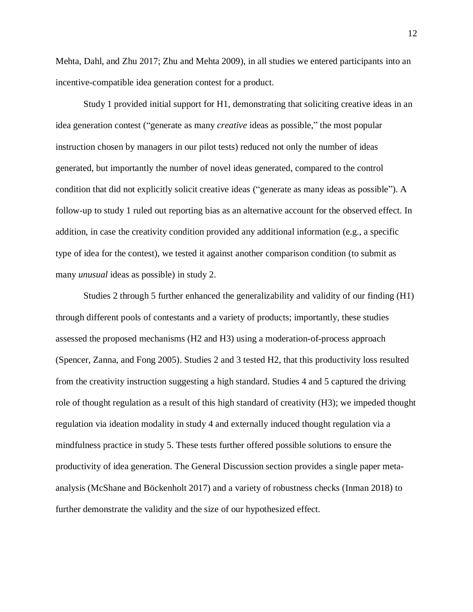Mehta, Dahl, and Zhu 2017; Zhu and Mehta 2009), in all studies we entered participants into an incentive-compatible idea generation contest for a product.

Study 1 provided initial support for H1, demonstrating that soliciting creative ideas in an idea generation contest ("generate as many *creative* ideas as possible," the most popular instruction chosen by managers in our pilot tests) reduced not only the number of ideas generated, but importantly the number of novel ideas generated, compared to the control condition that did not explicitly solicit creative ideas ("generate as many ideas as possible"). A follow-up to study 1 ruled out reporting bias as an alternative account for the observed effect. In addition, in case the creativity condition provided any additional information (e.g., a specific type of idea for the contest), we tested it against another comparison condition (to submit as many *unusual* ideas as possible) in study 2.

Studies 2 through 5 further enhanced the generalizability and validity of our finding (H1) through different pools of contestants and a variety of products; importantly, these studies assessed the proposed mechanisms (H2 and H3) using a moderation-of-process approach (Spencer, Zanna, and Fong 2005). Studies 2 and 3 tested H2, that this productivity loss resulted from the creativity instruction suggesting a high standard. Studies 4 and 5 captured the driving role of thought regulation as a result of this high standard of creativity (H3); we impeded thought regulation via ideation modality in study 4 and externally induced thought regulation via a mindfulness practice in study 5. These tests further offered possible solutions to ensure the productivity of idea generation. The General Discussion section provides a single paper metaanalysis (McShane and Böckenholt 2017) and a variety of robustness checks (Inman 2018) to further demonstrate the validity and the size of our hypothesized effect.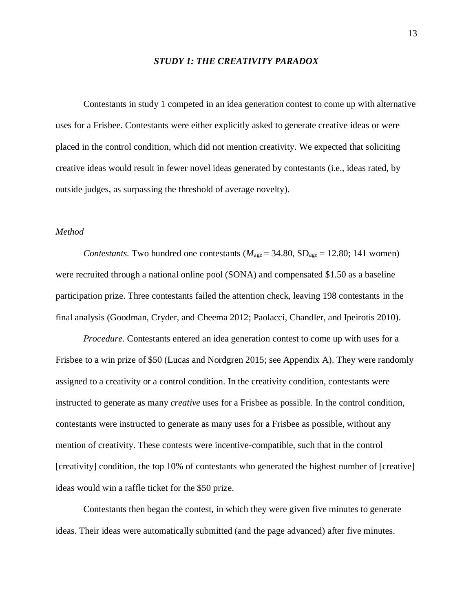### *STUDY 1: THE CREATIVITY PARADOX*

Contestants in study 1 competed in an idea generation contest to come up with alternative uses for a Frisbee. Contestants were either explicitly asked to generate creative ideas or were placed in the control condition, which did not mention creativity. We expected that soliciting creative ideas would result in fewer novel ideas generated by contestants (i.e., ideas rated, by outside judges, as surpassing the threshold of average novelty).

## *Method*

*Contestants.* Two hundred one contestants ( $M_{\text{age}} = 34.80$ ,  $SD_{\text{age}} = 12.80$ ; 141 women) were recruited through a national online pool (SONA) and compensated \$1.50 as a baseline participation prize. Three contestants failed the attention check, leaving 198 contestants in the final analysis (Goodman, Cryder, and Cheema 2012; Paolacci, Chandler, and Ipeirotis 2010).

*Procedure.* Contestants entered an idea generation contest to come up with uses for a Frisbee to a win prize of \$50 (Lucas and Nordgren 2015; see Appendix A). They were randomly assigned to a creativity or a control condition. In the creativity condition, contestants were instructed to generate as many *creative* uses for a Frisbee as possible. In the control condition, contestants were instructed to generate as many uses for a Frisbee as possible, without any mention of creativity. These contests were incentive-compatible, such that in the control [creativity] condition, the top 10% of contestants who generated the highest number of [creative] ideas would win a raffle ticket for the \$50 prize.

Contestants then began the contest, in which they were given five minutes to generate ideas. Their ideas were automatically submitted (and the page advanced) after five minutes.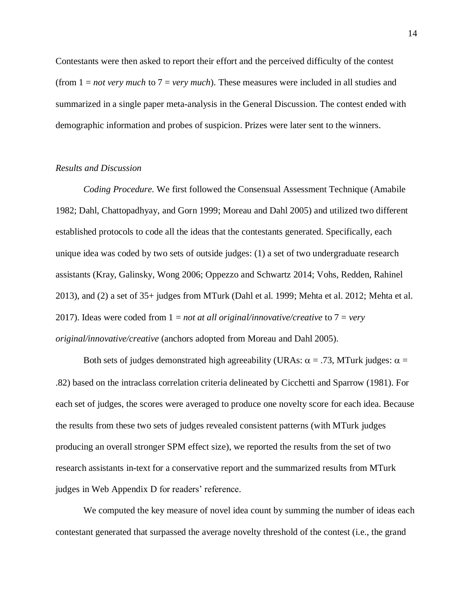Contestants were then asked to report their effort and the perceived difficulty of the contest (from 1 = *not very much* to 7 = *very much*). These measures were included in all studies and summarized in a single paper meta-analysis in the General Discussion. The contest ended with demographic information and probes of suspicion. Prizes were later sent to the winners.

## *Results and Discussion*

*Coding Procedure.* We first followed the Consensual Assessment Technique (Amabile 1982; Dahl, Chattopadhyay, and Gorn 1999; Moreau and Dahl 2005) and utilized two different established protocols to code all the ideas that the contestants generated. Specifically, each unique idea was coded by two sets of outside judges: (1) a set of two undergraduate research assistants (Kray, Galinsky, Wong 2006; Oppezzo and Schwartz 2014; Vohs, Redden, Rahinel 2013), and (2) a set of 35+ judges from MTurk (Dahl et al. 1999; Mehta et al. 2012; Mehta et al. 2017). Ideas were coded from 1 = *not at all original/innovative/creative* to 7 = *very original/innovative/creative* (anchors adopted from Moreau and Dahl 2005).

Both sets of judges demonstrated high agreeability (URAs:  $\alpha = .73$ , MTurk judges:  $\alpha =$ .82) based on the intraclass correlation criteria delineated by Cicchetti and Sparrow (1981). For each set of judges, the scores were averaged to produce one novelty score for each idea. Because the results from these two sets of judges revealed consistent patterns (with MTurk judges producing an overall stronger SPM effect size), we reported the results from the set of two research assistants in-text for a conservative report and the summarized results from MTurk judges in Web Appendix D for readers' reference.

We computed the key measure of novel idea count by summing the number of ideas each contestant generated that surpassed the average novelty threshold of the contest (i.e., the grand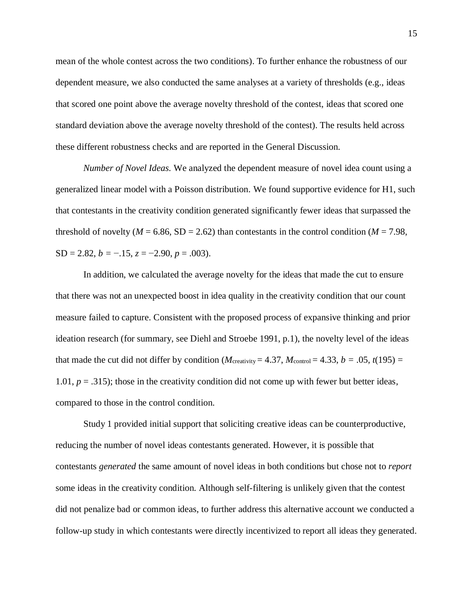mean of the whole contest across the two conditions). To further enhance the robustness of our dependent measure, we also conducted the same analyses at a variety of thresholds (e.g., ideas that scored one point above the average novelty threshold of the contest, ideas that scored one standard deviation above the average novelty threshold of the contest). The results held across these different robustness checks and are reported in the General Discussion.

*Number of Novel Ideas.* We analyzed the dependent measure of novel idea count using a generalized linear model with a Poisson distribution. We found supportive evidence for H1, such that contestants in the creativity condition generated significantly fewer ideas that surpassed the threshold of novelty ( $M = 6.86$ , SD = 2.62) than contestants in the control condition ( $M = 7.98$ ,  $SD = 2.82, b = -.15, z = -2.90, p = .003$ .

In addition, we calculated the average novelty for the ideas that made the cut to ensure that there was not an unexpected boost in idea quality in the creativity condition that our count measure failed to capture. Consistent with the proposed process of expansive thinking and prior ideation research (for summary, see Diehl and Stroebe 1991, p.1), the novelty level of the ideas that made the cut did not differ by condition ( $M_{\text{creativity}} = 4.37$ ,  $M_{\text{control}} = 4.33$ ,  $b = .05$ ,  $t(195) =$ 1.01, *p* = .315); those in the creativity condition did not come up with fewer but better ideas, compared to those in the control condition.

Study 1 provided initial support that soliciting creative ideas can be counterproductive, reducing the number of novel ideas contestants generated. However, it is possible that contestants *generated* the same amount of novel ideas in both conditions but chose not to *report* some ideas in the creativity condition. Although self-filtering is unlikely given that the contest did not penalize bad or common ideas, to further address this alternative account we conducted a follow-up study in which contestants were directly incentivized to report all ideas they generated.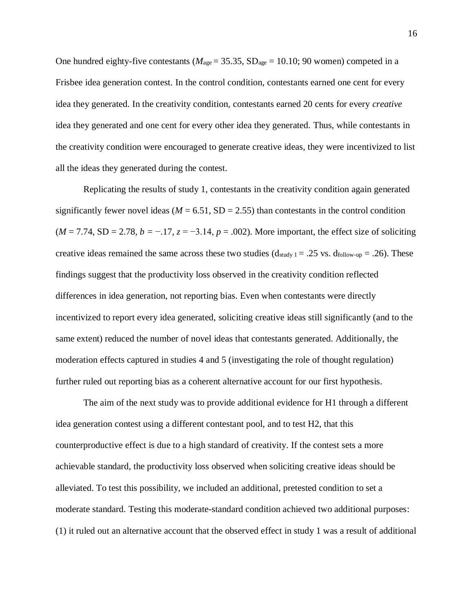One hundred eighty-five contestants ( $M_{\text{age}} = 35.35$ , SD<sub>age</sub> = 10.10; 90 women) competed in a Frisbee idea generation contest. In the control condition, contestants earned one cent for every idea they generated. In the creativity condition, contestants earned 20 cents for every *creative* idea they generated and one cent for every other idea they generated. Thus, while contestants in the creativity condition were encouraged to generate creative ideas, they were incentivized to list all the ideas they generated during the contest.

Replicating the results of study 1, contestants in the creativity condition again generated significantly fewer novel ideas ( $M = 6.51$ , SD = 2.55) than contestants in the control condition  $(M = 7.74, SD = 2.78, b = -.17, z = -3.14, p = .002)$ . More important, the effect size of soliciting creative ideas remained the same across these two studies  $(d_{study 1} = .25 \text{ vs. } d_{follow-up} = .26)$ . These findings suggest that the productivity loss observed in the creativity condition reflected differences in idea generation, not reporting bias. Even when contestants were directly incentivized to report every idea generated, soliciting creative ideas still significantly (and to the same extent) reduced the number of novel ideas that contestants generated. Additionally, the moderation effects captured in studies 4 and 5 (investigating the role of thought regulation) further ruled out reporting bias as a coherent alternative account for our first hypothesis.

The aim of the next study was to provide additional evidence for H1 through a different idea generation contest using a different contestant pool, and to test H2, that this counterproductive effect is due to a high standard of creativity. If the contest sets a more achievable standard, the productivity loss observed when soliciting creative ideas should be alleviated. To test this possibility, we included an additional, pretested condition to set a moderate standard. Testing this moderate-standard condition achieved two additional purposes: (1) it ruled out an alternative account that the observed effect in study 1 was a result of additional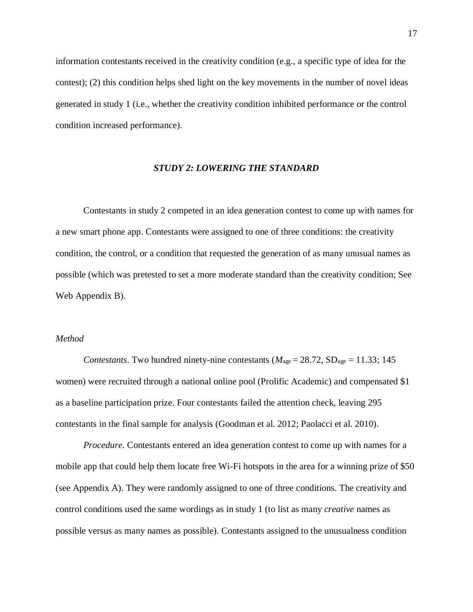information contestants received in the creativity condition (e.g., a specific type of idea for the contest); (2) this condition helps shed light on the key movements in the number of novel ideas generated in study 1 (i.e., whether the creativity condition inhibited performance or the control condition increased performance).

### *STUDY 2: LOWERING THE STANDARD*

Contestants in study 2 competed in an idea generation contest to come up with names for a new smart phone app. Contestants were assigned to one of three conditions: the creativity condition, the control, or a condition that requested the generation of as many unusual names as possible (which was pretested to set a more moderate standard than the creativity condition; See Web Appendix B).

## *Method*

*Contestants*. Two hundred ninety-nine contestants ( $M_{\text{age}} = 28.72$ ,  $SD_{\text{age}} = 11.33$ ; 145 women) were recruited through a national online pool (Prolific Academic) and compensated \$1 as a baseline participation prize. Four contestants failed the attention check, leaving 295 contestants in the final sample for analysis (Goodman et al. 2012; Paolacci et al. 2010).

*Procedure.* Contestants entered an idea generation contest to come up with names for a mobile app that could help them locate free Wi-Fi hotspots in the area for a winning prize of \$50 (see Appendix A). They were randomly assigned to one of three conditions. The creativity and control conditions used the same wordings as in study 1 (to list as many *creative* names as possible versus as many names as possible). Contestants assigned to the unusualness condition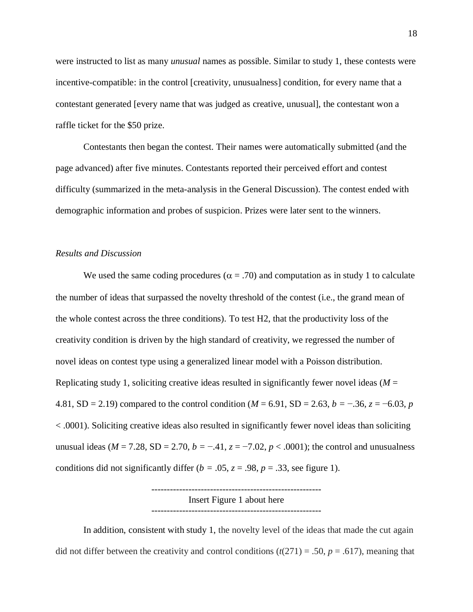were instructed to list as many *unusual* names as possible. Similar to study 1, these contests were incentive-compatible: in the control [creativity, unusualness] condition, for every name that a contestant generated [every name that was judged as creative, unusual], the contestant won a raffle ticket for the \$50 prize.

Contestants then began the contest. Their names were automatically submitted (and the page advanced) after five minutes. Contestants reported their perceived effort and contest difficulty (summarized in the meta-analysis in the General Discussion). The contest ended with demographic information and probes of suspicion. Prizes were later sent to the winners.

## *Results and Discussion*

We used the same coding procedures ( $\alpha = .70$ ) and computation as in study 1 to calculate the number of ideas that surpassed the novelty threshold of the contest (i.e., the grand mean of the whole contest across the three conditions). To test H2, that the productivity loss of the creativity condition is driven by the high standard of creativity, we regressed the number of novel ideas on contest type using a generalized linear model with a Poisson distribution. Replicating study 1, soliciting creative ideas resulted in significantly fewer novel ideas ( $M =$ 4.81, SD = 2.19) compared to the control condition (*M* = 6.91, SD = 2.63, *b =* −.36, *z* = −6.03, *p* < .0001). Soliciting creative ideas also resulted in significantly fewer novel ideas than soliciting unusual ideas ( $M = 7.28$ ,  $SD = 2.70$ ,  $b = -0.41$ ,  $z = -7.02$ ,  $p < 0.0001$ ); the control and unusualness conditions did not significantly differ ( $b = .05$ ,  $z = .98$ ,  $p = .33$ , see figure 1).

> ------------------------------------------------------- Insert Figure 1 about here -------------------------------------------------------

In addition, consistent with study 1, the novelty level of the ideas that made the cut again did not differ between the creativity and control conditions  $(t(271) = .50, p = .617)$ , meaning that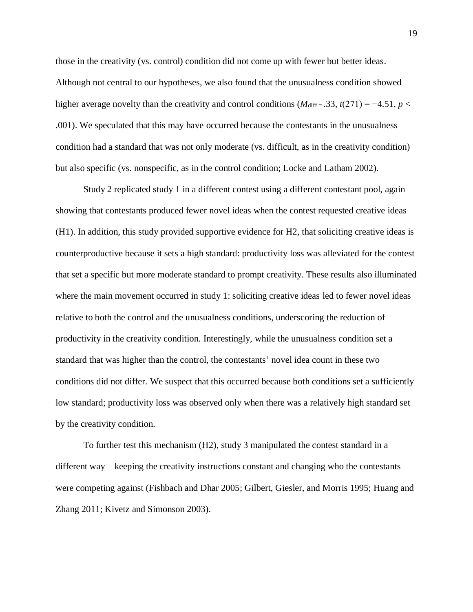those in the creativity (vs. control) condition did not come up with fewer but better ideas. Although not central to our hypotheses, we also found that the unusualness condition showed higher average novelty than the creativity and control conditions  $(M_{\text{diff}} = .33, t(271) = -4.51, p <$ .001). We speculated that this may have occurred because the contestants in the unusualness condition had a standard that was not only moderate (vs. difficult, as in the creativity condition) but also specific (vs. nonspecific, as in the control condition; Locke and Latham 2002).

Study 2 replicated study 1 in a different contest using a different contestant pool, again showing that contestants produced fewer novel ideas when the contest requested creative ideas (H1). In addition, this study provided supportive evidence for H2, that soliciting creative ideas is counterproductive because it sets a high standard: productivity loss was alleviated for the contest that set a specific but more moderate standard to prompt creativity. These results also illuminated where the main movement occurred in study 1: soliciting creative ideas led to fewer novel ideas relative to both the control and the unusualness conditions, underscoring the reduction of productivity in the creativity condition. Interestingly, while the unusualness condition set a standard that was higher than the control, the contestants' novel idea count in these two conditions did not differ. We suspect that this occurred because both conditions set a sufficiently low standard; productivity loss was observed only when there was a relatively high standard set by the creativity condition.

To further test this mechanism (H2), study 3 manipulated the contest standard in a different way—keeping the creativity instructions constant and changing who the contestants were competing against (Fishbach and Dhar 2005; Gilbert, Giesler, and Morris 1995; Huang and Zhang 2011; Kivetz and Simonson 2003).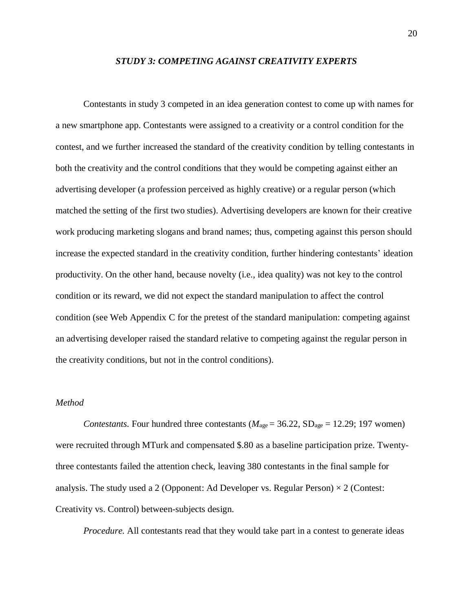### *STUDY 3: COMPETING AGAINST CREATIVITY EXPERTS*

Contestants in study 3 competed in an idea generation contest to come up with names for a new smartphone app. Contestants were assigned to a creativity or a control condition for the contest, and we further increased the standard of the creativity condition by telling contestants in both the creativity and the control conditions that they would be competing against either an advertising developer (a profession perceived as highly creative) or a regular person (which matched the setting of the first two studies). Advertising developers are known for their creative work producing marketing slogans and brand names; thus, competing against this person should increase the expected standard in the creativity condition, further hindering contestants' ideation productivity. On the other hand, because novelty (i.e., idea quality) was not key to the control condition or its reward, we did not expect the standard manipulation to affect the control condition (see Web Appendix C for the pretest of the standard manipulation: competing against an advertising developer raised the standard relative to competing against the regular person in the creativity conditions, but not in the control conditions).

## *Method*

*Contestants.* Four hundred three contestants ( $M_{\text{age}} = 36.22$ ,  $SD_{\text{age}} = 12.29$ ; 197 women) were recruited through MTurk and compensated \$.80 as a baseline participation prize. Twentythree contestants failed the attention check, leaving 380 contestants in the final sample for analysis. The study used a 2 (Opponent: Ad Developer vs. Regular Person)  $\times$  2 (Contest: Creativity vs. Control) between-subjects design.

*Procedure.* All contestants read that they would take part in a contest to generate ideas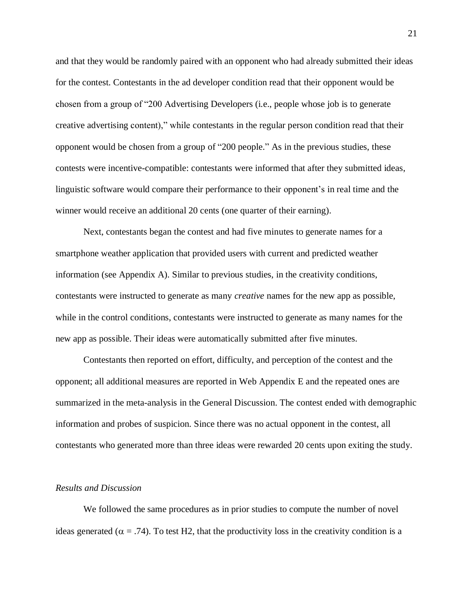and that they would be randomly paired with an opponent who had already submitted their ideas for the contest. Contestants in the ad developer condition read that their opponent would be chosen from a group of "200 Advertising Developers (i.e., people whose job is to generate creative advertising content)," while contestants in the regular person condition read that their opponent would be chosen from a group of "200 people." As in the previous studies, these contests were incentive-compatible: contestants were informed that after they submitted ideas, linguistic software would compare their performance to their opponent's in real time and the winner would receive an additional 20 cents (one quarter of their earning).

Next, contestants began the contest and had five minutes to generate names for a smartphone weather application that provided users with current and predicted weather information (see Appendix A). Similar to previous studies, in the creativity conditions, contestants were instructed to generate as many *creative* names for the new app as possible, while in the control conditions, contestants were instructed to generate as many names for the new app as possible. Their ideas were automatically submitted after five minutes.

Contestants then reported on effort, difficulty, and perception of the contest and the opponent; all additional measures are reported in Web Appendix E and the repeated ones are summarized in the meta-analysis in the General Discussion. The contest ended with demographic information and probes of suspicion. Since there was no actual opponent in the contest, all contestants who generated more than three ideas were rewarded 20 cents upon exiting the study.

### *Results and Discussion*

We followed the same procedures as in prior studies to compute the number of novel ideas generated ( $\alpha$  = .74). To test H2, that the productivity loss in the creativity condition is a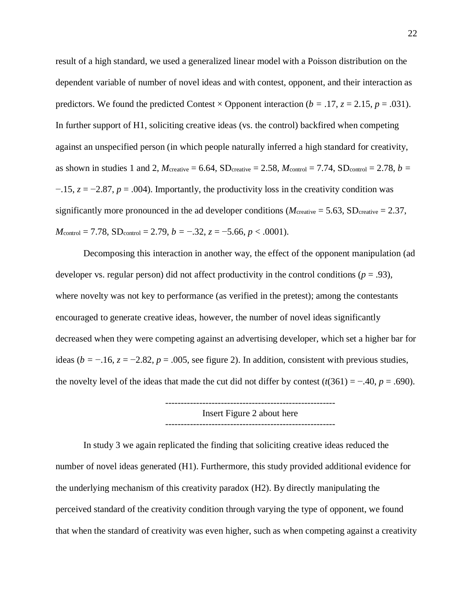result of a high standard, we used a generalized linear model with a Poisson distribution on the dependent variable of number of novel ideas and with contest, opponent, and their interaction as predictors. We found the predicted Contest  $\times$  Opponent interaction ( $b = .17$ ,  $z = 2.15$ ,  $p = .031$ ). In further support of H1, soliciting creative ideas (vs. the control) backfired when competing against an unspecified person (in which people naturally inferred a high standard for creativity, as shown in studies 1 and 2,  $M_{\text{createive}} = 6.64$ ,  $SD_{\text{createive}} = 2.58$ ,  $M_{\text{control}} = 7.74$ ,  $SD_{\text{control}} = 2.78$ ,  $b =$ −.15, *z* = −2.87, *p* = .004). Importantly, the productivity loss in the creativity condition was significantly more pronounced in the ad developer conditions ( $M_{\text{createive}} = 5.63$ , SD<sub>creative</sub> = 2.37,  $M_{\text{control}} = 7.78$ ,  $SD_{\text{control}} = 2.79$ ,  $b = -.32$ ,  $z = -5.66$ ,  $p < .0001$ ).

Decomposing this interaction in another way, the effect of the opponent manipulation (ad developer vs. regular person) did not affect productivity in the control conditions ( $p = .93$ ), where novelty was not key to performance (as verified in the pretest); among the contestants encouraged to generate creative ideas, however, the number of novel ideas significantly decreased when they were competing against an advertising developer, which set a higher bar for ideas ( $b = -16$ ,  $z = -2.82$ ,  $p = .005$ , see figure 2). In addition, consistent with previous studies, the novelty level of the ideas that made the cut did not differ by contest  $(t(361) = -.40, p = .690)$ .

> ------------------------------------------------------- Insert Figure 2 about here -------------------------------------------------------

In study 3 we again replicated the finding that soliciting creative ideas reduced the number of novel ideas generated (H1). Furthermore, this study provided additional evidence for the underlying mechanism of this creativity paradox (H2). By directly manipulating the perceived standard of the creativity condition through varying the type of opponent, we found that when the standard of creativity was even higher, such as when competing against a creativity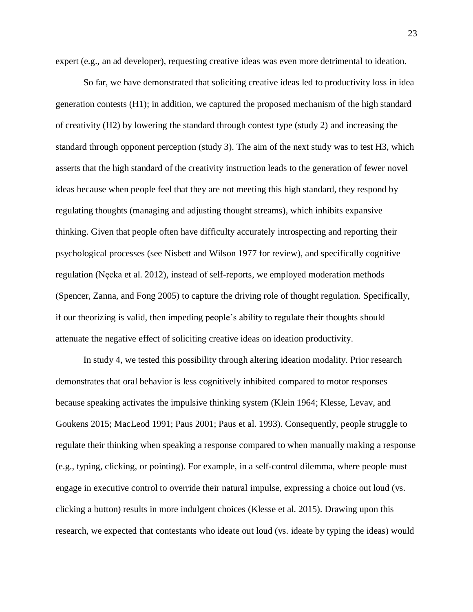expert (e.g., an ad developer), requesting creative ideas was even more detrimental to ideation.

So far, we have demonstrated that soliciting creative ideas led to productivity loss in idea generation contests (H1); in addition, we captured the proposed mechanism of the high standard of creativity (H2) by lowering the standard through contest type (study 2) and increasing the standard through opponent perception (study 3). The aim of the next study was to test H3, which asserts that the high standard of the creativity instruction leads to the generation of fewer novel ideas because when people feel that they are not meeting this high standard, they respond by regulating thoughts (managing and adjusting thought streams), which inhibits expansive thinking. Given that people often have difficulty accurately introspecting and reporting their psychological processes (see Nisbett and Wilson 1977 for review), and specifically cognitive regulation (Nęcka et al. 2012), instead of self-reports, we employed moderation methods (Spencer, Zanna, and Fong 2005) to capture the driving role of thought regulation. Specifically, if our theorizing is valid, then impeding people's ability to regulate their thoughts should attenuate the negative effect of soliciting creative ideas on ideation productivity.

In study 4, we tested this possibility through altering ideation modality. Prior research demonstrates that oral behavior is less cognitively inhibited compared to motor responses because speaking activates the impulsive thinking system (Klein 1964; Klesse, Levav, and Goukens 2015; MacLeod 1991; Paus 2001; Paus et al. 1993). Consequently, people struggle to regulate their thinking when speaking a response compared to when manually making a response (e.g., typing, clicking, or pointing). For example, in a self-control dilemma, where people must engage in executive control to override their natural impulse, expressing a choice out loud (vs. clicking a button) results in more indulgent choices (Klesse et al. 2015). Drawing upon this research, we expected that contestants who ideate out loud (vs. ideate by typing the ideas) would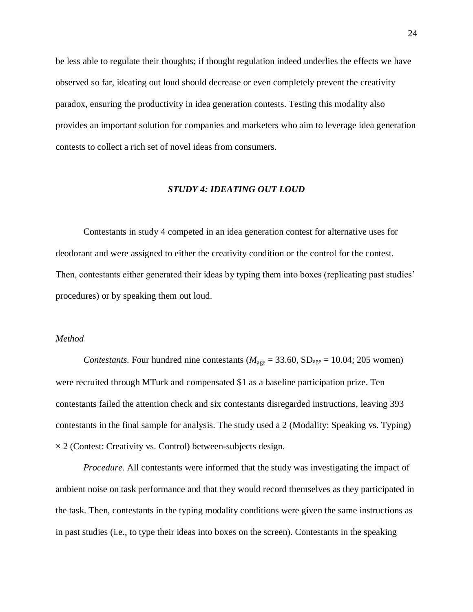be less able to regulate their thoughts; if thought regulation indeed underlies the effects we have observed so far, ideating out loud should decrease or even completely prevent the creativity paradox, ensuring the productivity in idea generation contests. Testing this modality also provides an important solution for companies and marketers who aim to leverage idea generation contests to collect a rich set of novel ideas from consumers.

### *STUDY 4: IDEATING OUT LOUD*

Contestants in study 4 competed in an idea generation contest for alternative uses for deodorant and were assigned to either the creativity condition or the control for the contest. Then, contestants either generated their ideas by typing them into boxes (replicating past studies' procedures) or by speaking them out loud.

## *Method*

*Contestants.* Four hundred nine contestants ( $M_{\text{age}} = 33.60$ ,  $SD_{\text{age}} = 10.04$ ; 205 women) were recruited through MTurk and compensated \$1 as a baseline participation prize. Ten contestants failed the attention check and six contestants disregarded instructions, leaving 393 contestants in the final sample for analysis. The study used a 2 (Modality: Speaking vs. Typing)  $\times$  2 (Contest: Creativity vs. Control) between-subjects design.

*Procedure.* All contestants were informed that the study was investigating the impact of ambient noise on task performance and that they would record themselves as they participated in the task. Then, contestants in the typing modality conditions were given the same instructions as in past studies (i.e., to type their ideas into boxes on the screen). Contestants in the speaking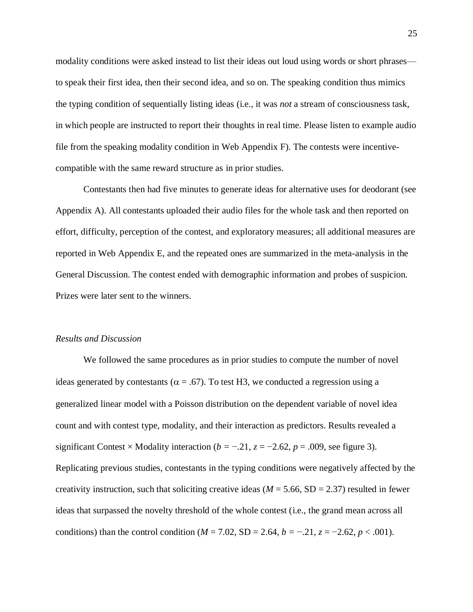modality conditions were asked instead to list their ideas out loud using words or short phrases to speak their first idea, then their second idea, and so on. The speaking condition thus mimics the typing condition of sequentially listing ideas (i.e., it was *not* a stream of consciousness task, in which people are instructed to report their thoughts in real time. Please listen to example audio file from the speaking modality condition in Web Appendix F). The contests were incentivecompatible with the same reward structure as in prior studies.

Contestants then had five minutes to generate ideas for alternative uses for deodorant (see Appendix A). All contestants uploaded their audio files for the whole task and then reported on effort, difficulty, perception of the contest, and exploratory measures; all additional measures are reported in Web Appendix E, and the repeated ones are summarized in the meta-analysis in the General Discussion. The contest ended with demographic information and probes of suspicion. Prizes were later sent to the winners.

### *Results and Discussion*

We followed the same procedures as in prior studies to compute the number of novel ideas generated by contestants ( $\alpha$  = .67). To test H3, we conducted a regression using a generalized linear model with a Poisson distribution on the dependent variable of novel idea count and with contest type, modality, and their interaction as predictors. Results revealed a significant Contest × Modality interaction ( $b = -0.21$ ,  $z = -2.62$ ,  $p = 0.009$ , see figure 3). Replicating previous studies, contestants in the typing conditions were negatively affected by the creativity instruction, such that soliciting creative ideas ( $M = 5.66$ , SD = 2.37) resulted in fewer ideas that surpassed the novelty threshold of the whole contest (i.e., the grand mean across all conditions) than the control condition ( $M = 7.02$ , SD = 2.64,  $b = -0.21$ ,  $z = -2.62$ ,  $p < .001$ ).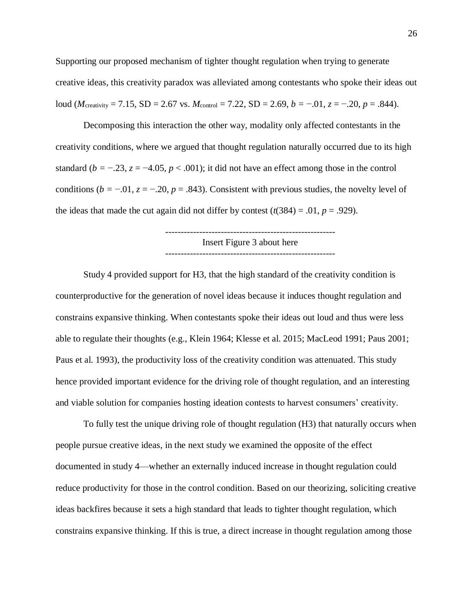Supporting our proposed mechanism of tighter thought regulation when trying to generate creative ideas, this creativity paradox was alleviated among contestants who spoke their ideas out loud (*M*<sub>creativity</sub> = 7.15, SD = 2.67 vs. *M*<sub>control</sub> = 7.22, SD = 2.69, *b* = −.01, *z* = −.20, *p* = .844).

Decomposing this interaction the other way, modality only affected contestants in the creativity conditions, where we argued that thought regulation naturally occurred due to its high standard ( $b = -0.23$ ,  $z = -4.05$ ,  $p < 0.001$ ); it did not have an effect among those in the control conditions ( $b = -0.01$ ,  $z = -0.20$ ,  $p = 0.843$ ). Consistent with previous studies, the novelty level of the ideas that made the cut again did not differ by contest  $(t(384) = .01, p = .929)$ .

> ------------------------------------------------------- Insert Figure 3 about here -------------------------------------------------------

Study 4 provided support for H3, that the high standard of the creativity condition is counterproductive for the generation of novel ideas because it induces thought regulation and constrains expansive thinking. When contestants spoke their ideas out loud and thus were less able to regulate their thoughts (e.g., Klein 1964; Klesse et al. 2015; MacLeod 1991; Paus 2001; Paus et al. 1993), the productivity loss of the creativity condition was attenuated. This study hence provided important evidence for the driving role of thought regulation, and an interesting and viable solution for companies hosting ideation contests to harvest consumers' creativity.

To fully test the unique driving role of thought regulation (H3) that naturally occurs when people pursue creative ideas, in the next study we examined the opposite of the effect documented in study 4—whether an externally induced increase in thought regulation could reduce productivity for those in the control condition. Based on our theorizing, soliciting creative ideas backfires because it sets a high standard that leads to tighter thought regulation, which constrains expansive thinking. If this is true, a direct increase in thought regulation among those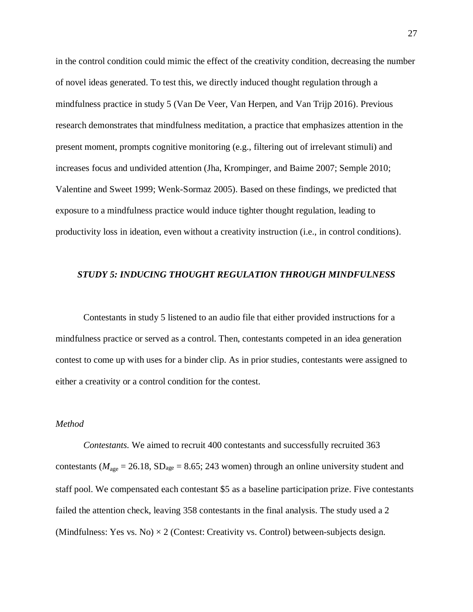in the control condition could mimic the effect of the creativity condition, decreasing the number of novel ideas generated. To test this, we directly induced thought regulation through a mindfulness practice in study 5 (Van De Veer, Van Herpen, and Van Trijp 2016). Previous research demonstrates that mindfulness meditation, a practice that emphasizes attention in the present moment, prompts cognitive monitoring (e.g., filtering out of irrelevant stimuli) and increases focus and undivided attention (Jha, Krompinger, and Baime 2007; Semple 2010; Valentine and Sweet 1999; Wenk-Sormaz 2005). Based on these findings, we predicted that exposure to a mindfulness practice would induce tighter thought regulation, leading to productivity loss in ideation, even without a creativity instruction (i.e., in control conditions).

### *STUDY 5: INDUCING THOUGHT REGULATION THROUGH MINDFULNESS*

Contestants in study 5 listened to an audio file that either provided instructions for a mindfulness practice or served as a control. Then, contestants competed in an idea generation contest to come up with uses for a binder clip. As in prior studies, contestants were assigned to either a creativity or a control condition for the contest.

## *Method*

*Contestants.* We aimed to recruit 400 contestants and successfully recruited 363 contestants ( $M_{\text{age}} = 26.18$ , SD<sub>age</sub> = 8.65; 243 women) through an online university student and staff pool. We compensated each contestant \$5 as a baseline participation prize. Five contestants failed the attention check, leaving 358 contestants in the final analysis. The study used a 2 (Mindfulness: Yes vs. No)  $\times$  2 (Contest: Creativity vs. Control) between-subjects design.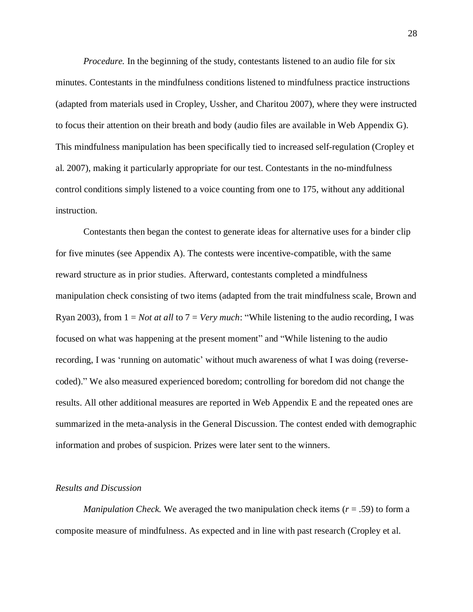*Procedure.* In the beginning of the study, contestants listened to an audio file for six minutes. Contestants in the mindfulness conditions listened to mindfulness practice instructions (adapted from materials used in Cropley, Ussher, and Charitou 2007), where they were instructed to focus their attention on their breath and body (audio files are available in Web Appendix G). This mindfulness manipulation has been specifically tied to increased self-regulation (Cropley et al. 2007), making it particularly appropriate for our test. Contestants in the no-mindfulness control conditions simply listened to a voice counting from one to 175, without any additional instruction.

Contestants then began the contest to generate ideas for alternative uses for a binder clip for five minutes (see Appendix A). The contests were incentive-compatible, with the same reward structure as in prior studies. Afterward, contestants completed a mindfulness manipulation check consisting of two items (adapted from the trait mindfulness scale, Brown and Ryan 2003), from 1 = *Not at all* to 7 = *Very much*: "While listening to the audio recording, I was focused on what was happening at the present moment" and "While listening to the audio recording, I was 'running on automatic' without much awareness of what I was doing (reversecoded)." We also measured experienced boredom; controlling for boredom did not change the results. All other additional measures are reported in Web Appendix E and the repeated ones are summarized in the meta-analysis in the General Discussion. The contest ended with demographic information and probes of suspicion. Prizes were later sent to the winners.

### *Results and Discussion*

*Manipulation Check.* We averaged the two manipulation check items ( $r = .59$ ) to form a composite measure of mindfulness. As expected and in line with past research (Cropley et al.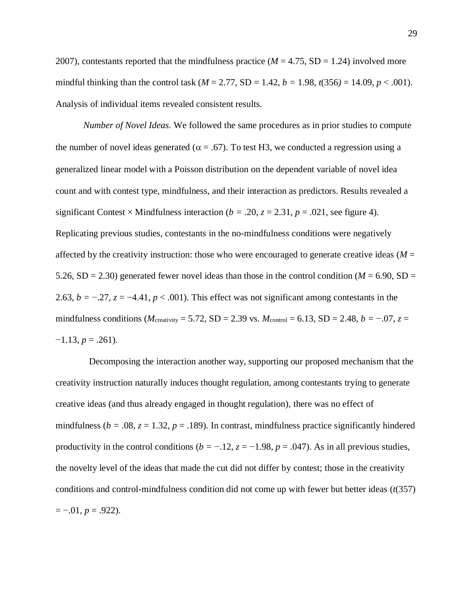2007), contestants reported that the mindfulness practice ( $M = 4.75$ , SD = 1.24) involved more mindful thinking than the control task ( $M = 2.77$ , SD = 1.42,  $b = 1.98$ ,  $t(356) = 14.09$ ,  $p < .001$ ). Analysis of individual items revealed consistent results.

*Number of Novel Ideas.* We followed the same procedures as in prior studies to compute the number of novel ideas generated ( $\alpha = .67$ ). To test H3, we conducted a regression using a generalized linear model with a Poisson distribution on the dependent variable of novel idea count and with contest type, mindfulness, and their interaction as predictors. Results revealed a significant Contest × Mindfulness interaction ( $b = .20$ ,  $z = 2.31$ ,  $p = .021$ , see figure 4). Replicating previous studies, contestants in the no-mindfulness conditions were negatively affected by the creativity instruction: those who were encouraged to generate creative ideas ( $M =$ 5.26, SD = 2.30) generated fewer novel ideas than those in the control condition ( $M = 6.90$ , SD = 2.63,  $b = -0.27$ ,  $z = -4.41$ ,  $p < .001$ ). This effect was not significant among contestants in the mindfulness conditions ( $M_{\text{creativity}} = 5.72$ , SD = 2.39 vs.  $M_{\text{control}} = 6.13$ , SD = 2.48,  $b = -0.07$ ,  $z =$  $-1.13, p = .261$ .

Decomposing the interaction another way, supporting our proposed mechanism that the creativity instruction naturally induces thought regulation, among contestants trying to generate creative ideas (and thus already engaged in thought regulation), there was no effect of mindfulness ( $b = .08$ ,  $z = 1.32$ ,  $p = .189$ ). In contrast, mindfulness practice significantly hindered productivity in the control conditions ( $b = -0.12$ ,  $z = -1.98$ ,  $p = 0.047$ ). As in all previous studies, the novelty level of the ideas that made the cut did not differ by contest; those in the creativity conditions and control-mindfulness condition did not come up with fewer but better ideas (*t*(357)  $=-.01, p=.922$ ).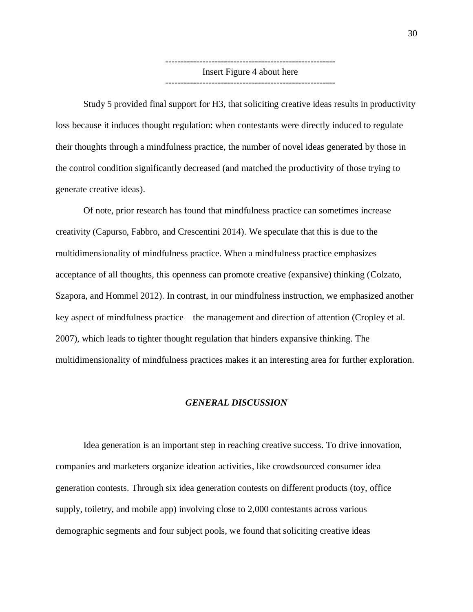------------------------------------------------------- Insert Figure 4 about here

Study 5 provided final support for H3, that soliciting creative ideas results in productivity loss because it induces thought regulation: when contestants were directly induced to regulate their thoughts through a mindfulness practice, the number of novel ideas generated by those in the control condition significantly decreased (and matched the productivity of those trying to generate creative ideas).

Of note, prior research has found that mindfulness practice can sometimes increase creativity (Capurso, Fabbro, and Crescentini 2014). We speculate that this is due to the multidimensionality of mindfulness practice. When a mindfulness practice emphasizes acceptance of all thoughts, this openness can promote creative (expansive) thinking (Colzato, Szapora, and Hommel 2012). In contrast, in our mindfulness instruction, we emphasized another key aspect of mindfulness practice—the management and direction of attention (Cropley et al. 2007), which leads to tighter thought regulation that hinders expansive thinking. The multidimensionality of mindfulness practices makes it an interesting area for further exploration.

### *GENERAL DISCUSSION*

Idea generation is an important step in reaching creative success. To drive innovation, companies and marketers organize ideation activities, like crowdsourced consumer idea generation contests. Through six idea generation contests on different products (toy, office supply, toiletry, and mobile app) involving close to 2,000 contestants across various demographic segments and four subject pools, we found that soliciting creative ideas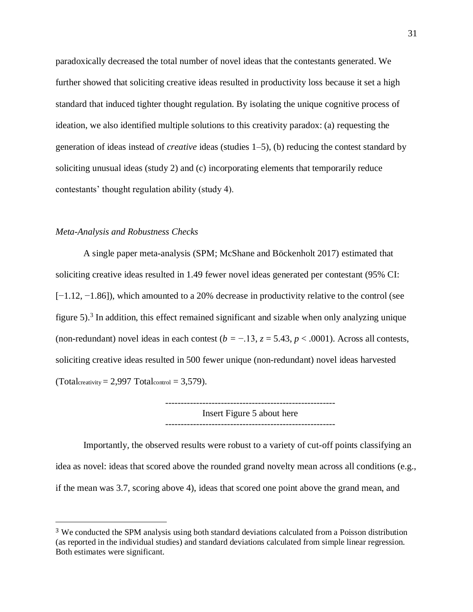paradoxically decreased the total number of novel ideas that the contestants generated. We further showed that soliciting creative ideas resulted in productivity loss because it set a high standard that induced tighter thought regulation. By isolating the unique cognitive process of ideation, we also identified multiple solutions to this creativity paradox: (a) requesting the generation of ideas instead of *creative* ideas (studies 1–5), (b) reducing the contest standard by soliciting unusual ideas (study 2) and (c) incorporating elements that temporarily reduce contestants' thought regulation ability (study 4).

## *Meta-Analysis and Robustness Checks*

 $\overline{a}$ 

A single paper meta-analysis (SPM; McShane and Böckenholt 2017) estimated that soliciting creative ideas resulted in 1.49 fewer novel ideas generated per contestant (95% CI: [−1.12, −1.86]), which amounted to a 20% decrease in productivity relative to the control (see figure 5). 3 In addition, this effect remained significant and sizable when only analyzing unique (non-redundant) novel ideas in each contest  $(b = -13, z = 5.43, p < .0001)$ . Across all contests, soliciting creative ideas resulted in 500 fewer unique (non-redundant) novel ideas harvested  $(Total_{\text{creativity}} = 2,997 \text{ Total}_{\text{control}} = 3,579).$ 

> ------------------------------------------------------- Insert Figure 5 about here

Importantly, the observed results were robust to a variety of cut-off points classifying an idea as novel: ideas that scored above the rounded grand novelty mean across all conditions (e.g., if the mean was 3.7, scoring above 4), ideas that scored one point above the grand mean, and

<sup>3</sup> We conducted the SPM analysis using both standard deviations calculated from a Poisson distribution (as reported in the individual studies) and standard deviations calculated from simple linear regression. Both estimates were significant.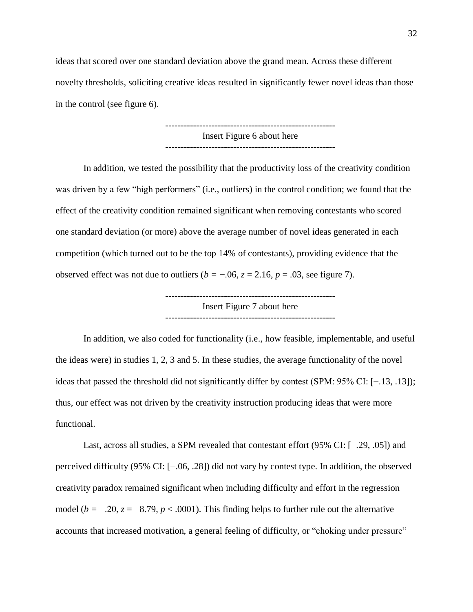ideas that scored over one standard deviation above the grand mean. Across these different novelty thresholds, soliciting creative ideas resulted in significantly fewer novel ideas than those in the control (see figure 6).

> ------------------------------------------------------- Insert Figure 6 about here -------------------------------------------------------

In addition, we tested the possibility that the productivity loss of the creativity condition was driven by a few "high performers" (i.e., outliers) in the control condition; we found that the effect of the creativity condition remained significant when removing contestants who scored one standard deviation (or more) above the average number of novel ideas generated in each competition (which turned out to be the top 14% of contestants), providing evidence that the observed effect was not due to outliers ( $b = -0.06$ ,  $z = 2.16$ ,  $p = 0.03$ , see figure 7).

> ------------------------------------------------------- Insert Figure 7 about here

In addition, we also coded for functionality (i.e., how feasible, implementable, and useful the ideas were) in studies 1, 2, 3 and 5. In these studies, the average functionality of the novel ideas that passed the threshold did not significantly differ by contest (SPM: 95% CI: [−.13, .13]); thus, our effect was not driven by the creativity instruction producing ideas that were more functional.

Last, across all studies, a SPM revealed that contestant effort (95% CI: [−.29, .05]) and perceived difficulty (95% CI: [−.06, .28]) did not vary by contest type. In addition, the observed creativity paradox remained significant when including difficulty and effort in the regression model ( $b = -0.20$ ,  $z = -8.79$ ,  $p < .0001$ ). This finding helps to further rule out the alternative accounts that increased motivation, a general feeling of difficulty, or "choking under pressure"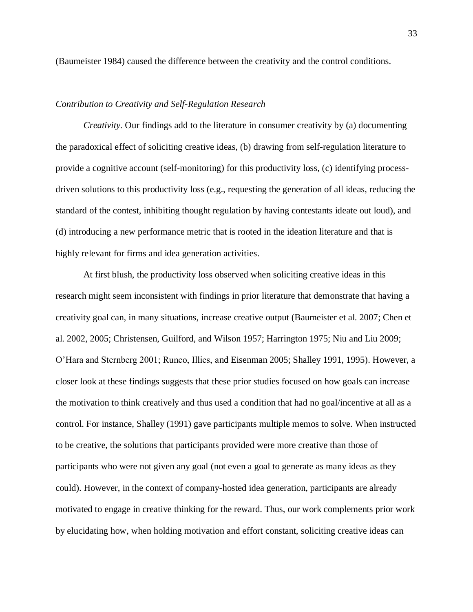(Baumeister 1984) caused the difference between the creativity and the control conditions.

## *Contribution to Creativity and Self-Regulation Research*

*Creativity.* Our findings add to the literature in consumer creativity by (a) documenting the paradoxical effect of soliciting creative ideas, (b) drawing from self-regulation literature to provide a cognitive account (self-monitoring) for this productivity loss, (c) identifying processdriven solutions to this productivity loss (e.g., requesting the generation of all ideas, reducing the standard of the contest, inhibiting thought regulation by having contestants ideate out loud), and (d) introducing a new performance metric that is rooted in the ideation literature and that is highly relevant for firms and idea generation activities.

At first blush, the productivity loss observed when soliciting creative ideas in this research might seem inconsistent with findings in prior literature that demonstrate that having a creativity goal can, in many situations, increase creative output (Baumeister et al. 2007; Chen et al. 2002, 2005; Christensen, Guilford, and Wilson 1957; Harrington 1975; Niu and Liu 2009; O'Hara and Sternberg 2001; Runco, Illies, and Eisenman 2005; Shalley 1991, 1995). However, a closer look at these findings suggests that these prior studies focused on how goals can increase the motivation to think creatively and thus used a condition that had no goal/incentive at all as a control. For instance, Shalley (1991) gave participants multiple memos to solve. When instructed to be creative, the solutions that participants provided were more creative than those of participants who were not given any goal (not even a goal to generate as many ideas as they could). However, in the context of company-hosted idea generation, participants are already motivated to engage in creative thinking for the reward. Thus, our work complements prior work by elucidating how, when holding motivation and effort constant, soliciting creative ideas can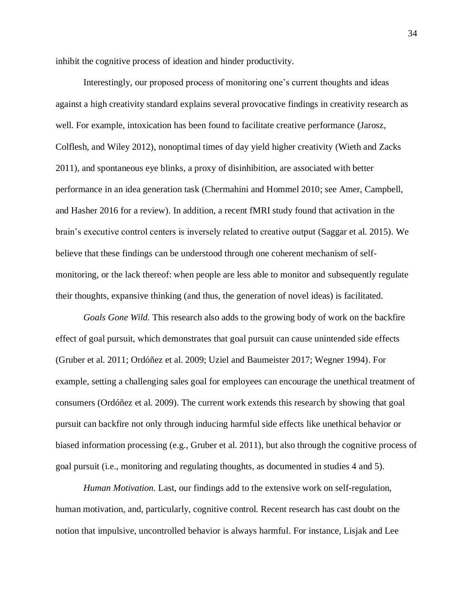inhibit the cognitive process of ideation and hinder productivity.

Interestingly, our proposed process of monitoring one's current thoughts and ideas against a high creativity standard explains several provocative findings in creativity research as well. For example, intoxication has been found to facilitate creative performance (Jarosz, Colflesh, and Wiley 2012), nonoptimal times of day yield higher creativity (Wieth and Zacks 2011), and spontaneous eye blinks, a proxy of disinhibition, are associated with better performance in an idea generation task (Chermahini and Hommel 2010; see Amer, Campbell, and Hasher 2016 for a review). In addition, a recent fMRI study found that activation in the brain's executive control centers is inversely related to creative output (Saggar et al. 2015). We believe that these findings can be understood through one coherent mechanism of selfmonitoring, or the lack thereof: when people are less able to monitor and subsequently regulate their thoughts, expansive thinking (and thus, the generation of novel ideas) is facilitated.

*Goals Gone Wild.* This research also adds to the growing body of work on the backfire effect of goal pursuit, which demonstrates that goal pursuit can cause unintended side effects (Gruber et al. 2011; Ordóñez et al. 2009; Uziel and Baumeister 2017; Wegner 1994). For example, setting a challenging sales goal for employees can encourage the unethical treatment of consumers (Ordóñez et al. 2009). The current work extends this research by showing that goal pursuit can backfire not only through inducing harmful side effects like unethical behavior or biased information processing (e.g., Gruber et al. 2011), but also through the cognitive process of goal pursuit (i.e., monitoring and regulating thoughts, as documented in studies 4 and 5).

*Human Motivation.* Last, our findings add to the extensive work on self-regulation, human motivation, and, particularly, cognitive control. Recent research has cast doubt on the notion that impulsive, uncontrolled behavior is always harmful. For instance, Lisjak and Lee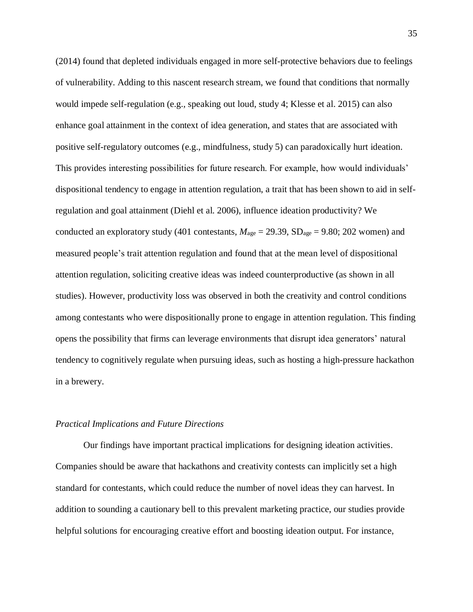(2014) found that depleted individuals engaged in more self-protective behaviors due to feelings of vulnerability. Adding to this nascent research stream, we found that conditions that normally would impede self-regulation (e.g., speaking out loud, study 4; Klesse et al. 2015) can also enhance goal attainment in the context of idea generation, and states that are associated with positive self-regulatory outcomes (e.g., mindfulness, study 5) can paradoxically hurt ideation. This provides interesting possibilities for future research. For example, how would individuals' dispositional tendency to engage in attention regulation, a trait that has been shown to aid in selfregulation and goal attainment (Diehl et al. 2006), influence ideation productivity? We conducted an exploratory study (401 contestants,  $M_{\text{age}} = 29.39$ , SD<sub>age</sub> = 9.80; 202 women) and measured people's trait attention regulation and found that at the mean level of dispositional attention regulation, soliciting creative ideas was indeed counterproductive (as shown in all studies). However, productivity loss was observed in both the creativity and control conditions among contestants who were dispositionally prone to engage in attention regulation. This finding opens the possibility that firms can leverage environments that disrupt idea generators' natural tendency to cognitively regulate when pursuing ideas, such as hosting a high-pressure hackathon in a brewery.

#### *Practical Implications and Future Directions*

Our findings have important practical implications for designing ideation activities. Companies should be aware that hackathons and creativity contests can implicitly set a high standard for contestants, which could reduce the number of novel ideas they can harvest. In addition to sounding a cautionary bell to this prevalent marketing practice, our studies provide helpful solutions for encouraging creative effort and boosting ideation output. For instance,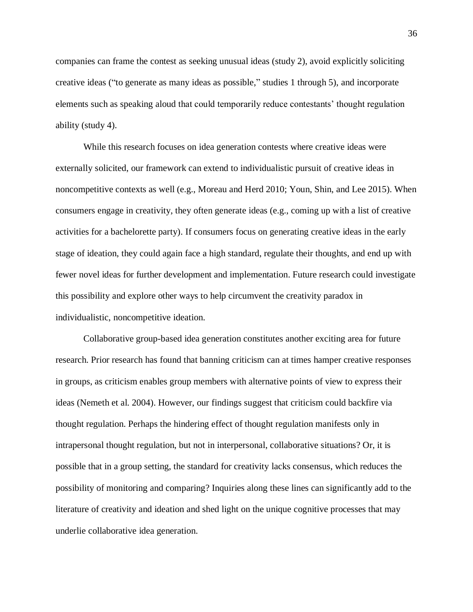companies can frame the contest as seeking unusual ideas (study 2), avoid explicitly soliciting creative ideas ("to generate as many ideas as possible," studies 1 through 5), and incorporate elements such as speaking aloud that could temporarily reduce contestants' thought regulation ability (study 4).

While this research focuses on idea generation contests where creative ideas were externally solicited, our framework can extend to individualistic pursuit of creative ideas in noncompetitive contexts as well (e.g., Moreau and Herd 2010; Youn, Shin, and Lee 2015). When consumers engage in creativity, they often generate ideas (e.g., coming up with a list of creative activities for a bachelorette party). If consumers focus on generating creative ideas in the early stage of ideation, they could again face a high standard, regulate their thoughts, and end up with fewer novel ideas for further development and implementation. Future research could investigate this possibility and explore other ways to help circumvent the creativity paradox in individualistic, noncompetitive ideation.

Collaborative group-based idea generation constitutes another exciting area for future research. Prior research has found that banning criticism can at times hamper creative responses in groups, as criticism enables group members with alternative points of view to express their ideas (Nemeth et al. 2004). However, our findings suggest that criticism could backfire via thought regulation. Perhaps the hindering effect of thought regulation manifests only in intrapersonal thought regulation, but not in interpersonal, collaborative situations? Or, it is possible that in a group setting, the standard for creativity lacks consensus, which reduces the possibility of monitoring and comparing? Inquiries along these lines can significantly add to the literature of creativity and ideation and shed light on the unique cognitive processes that may underlie collaborative idea generation.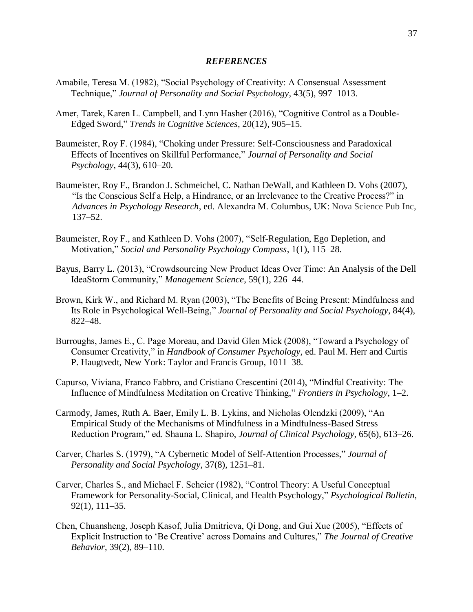### *REFERENCES*

- Amabile, Teresa M. (1982), "Social Psychology of Creativity: A Consensual Assessment Technique," *Journal of Personality and Social Psychology*, 43(5), 997–1013.
- Amer, Tarek, Karen L. Campbell, and Lynn Hasher (2016), "Cognitive Control as a Double-Edged Sword," *Trends in Cognitive Sciences*, 20(12), 905–15.
- Baumeister, Roy F. (1984), "Choking under Pressure: Self-Consciousness and Paradoxical Effects of Incentives on Skillful Performance," *Journal of Personality and Social Psychology*, 44(3), 610–20.
- Baumeister, Roy F., Brandon J. Schmeichel, C. Nathan DeWall, and Kathleen D. Vohs (2007), "Is the Conscious Self a Help, a Hindrance, or an Irrelevance to the Creative Process?" in *Advances in Psychology Research*, ed. Alexandra M. Columbus, UK: Nova Science Pub Inc, 137–52.
- Baumeister, Roy F., and Kathleen D. Vohs (2007), "Self-Regulation, Ego Depletion, and Motivation," *Social and Personality Psychology Compass*, 1(1), 115–28.
- Bayus, Barry L. (2013), "Crowdsourcing New Product Ideas Over Time: An Analysis of the Dell IdeaStorm Community," *Management Science*, 59(1), 226–44.
- Brown, Kirk W., and Richard M. Ryan (2003), "The Benefits of Being Present: Mindfulness and Its Role in Psychological Well-Being," *Journal of Personality and Social Psychology*, 84(4), 822–48.
- Burroughs, James E., C. Page Moreau, and David Glen Mick (2008), "Toward a Psychology of Consumer Creativity," in *Handbook of Consumer Psychology*, ed. Paul M. Herr and Curtis P. Haugtvedt, New York: Taylor and Francis Group, 1011–38.
- Capurso, Viviana, Franco Fabbro, and Cristiano Crescentini (2014), "Mindful Creativity: The Influence of Mindfulness Meditation on Creative Thinking," *Frontiers in Psychology*, 1–2.
- Carmody, James, Ruth A. Baer, Emily L. B. Lykins, and Nicholas Olendzki (2009), "An Empirical Study of the Mechanisms of Mindfulness in a Mindfulness-Based Stress Reduction Program," ed. Shauna L. Shapiro, *Journal of Clinical Psychology*, 65(6), 613–26.
- Carver, Charles S. (1979), "A Cybernetic Model of Self-Attention Processes," *Journal of Personality and Social Psychology*, 37(8), 1251–81.
- Carver, Charles S., and Michael F. Scheier (1982), "Control Theory: A Useful Conceptual Framework for Personality-Social, Clinical, and Health Psychology," *Psychological Bulletin*, 92(1), 111–35.
- Chen, Chuansheng, Joseph Kasof, Julia Dmitrieva, Qi Dong, and Gui Xue (2005), "Effects of Explicit Instruction to 'Be Creative' across Domains and Cultures," *The Journal of Creative Behavior*, 39(2), 89–110.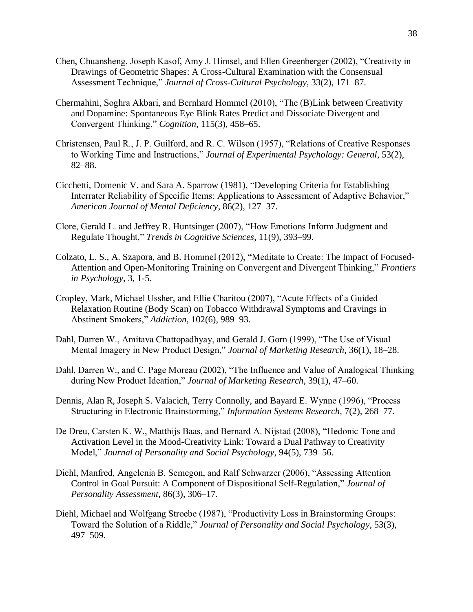- Chen, Chuansheng, Joseph Kasof, Amy J. Himsel, and Ellen Greenberger (2002), "Creativity in Drawings of Geometric Shapes: A Cross-Cultural Examination with the Consensual Assessment Technique," *Journal of Cross-Cultural Psychology*, 33(2), 171–87.
- Chermahini, Soghra Akbari, and Bernhard Hommel (2010), "The (B)Link between Creativity and Dopamine: Spontaneous Eye Blink Rates Predict and Dissociate Divergent and Convergent Thinking," *Cognition*, 115(3), 458–65.
- Christensen, Paul R., J. P. Guilford, and R. C. Wilson (1957), "Relations of Creative Responses to Working Time and Instructions," *Journal of Experimental Psychology: General*, 53(2), 82–88.
- Cicchetti, Domenic V. and Sara A. Sparrow (1981), "Developing Criteria for Establishing Interrater Reliability of Specific Items: Applications to Assessment of Adaptive Behavior," *American Journal of Mental Deficiency*, 86(2), 127–37.
- Clore, Gerald L. and Jeffrey R. Huntsinger (2007), "How Emotions Inform Judgment and Regulate Thought," *Trends in Cognitive Sciences*, 11(9), 393–99.
- Colzato, L. S., A. Szapora, and B. Hommel (2012), "Meditate to Create: The Impact of Focused-Attention and Open-Monitoring Training on Convergent and Divergent Thinking," *Frontiers in Psychology*, 3, 1-5.
- Cropley, Mark, Michael Ussher, and Ellie Charitou (2007), "Acute Effects of a Guided Relaxation Routine (Body Scan) on Tobacco Withdrawal Symptoms and Cravings in Abstinent Smokers," *Addiction*, 102(6), 989–93.
- Dahl, Darren W., Amitava Chattopadhyay, and Gerald J. Gorn (1999), "The Use of Visual Mental Imagery in New Product Design," *Journal of Marketing Research*, 36(1), 18–28.
- Dahl, Darren W., and C. Page Moreau (2002), "The Influence and Value of Analogical Thinking during New Product Ideation," *Journal of Marketing Research*, 39(1), 47–60.
- Dennis, Alan R, Joseph S. Valacich, Terry Connolly, and Bayard E. Wynne (1996), "Process Structuring in Electronic Brainstorming," *Information Systems Research,* 7(2), 268–77.
- De Dreu, Carsten K. W., Matthijs Baas, and Bernard A. Nijstad (2008), "Hedonic Tone and Activation Level in the Mood-Creativity Link: Toward a Dual Pathway to Creativity Model," *Journal of Personality and Social Psychology*, 94(5), 739–56.
- Diehl, Manfred, Angelenia B. Semegon, and Ralf Schwarzer (2006), "Assessing Attention Control in Goal Pursuit: A Component of Dispositional Self-Regulation," *Journal of Personality Assessment*, 86(3), 306–17.
- Diehl, Michael and Wolfgang Stroebe (1987), "Productivity Loss in Brainstorming Groups: Toward the Solution of a Riddle," *Journal of Personality and Social Psychology*, 53(3), 497–509.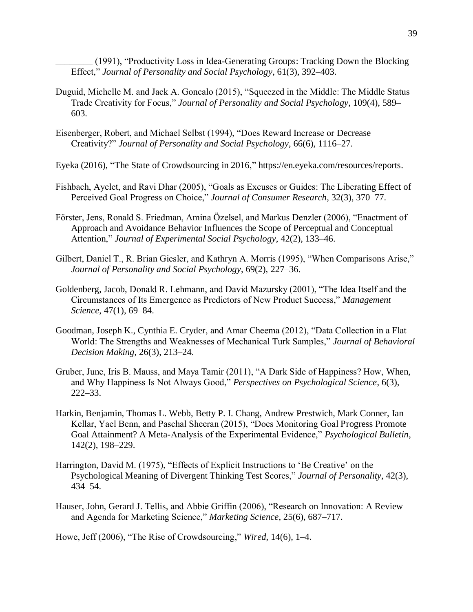\_\_\_\_\_\_\_\_ (1991), "Productivity Loss in Idea-Generating Groups: Tracking Down the Blocking Effect," *Journal of Personality and Social Psychology*, 61(3), 392–403.

- Duguid, Michelle M. and Jack A. Goncalo (2015), "Squeezed in the Middle: The Middle Status Trade Creativity for Focus," *Journal of Personality and Social Psychology*, 109(4), 589– 603.
- Eisenberger, Robert, and Michael Selbst (1994), "Does Reward Increase or Decrease Creativity?" *Journal of Personality and Social Psychology*, 66(6), 1116–27.

Eyeka (2016), "The State of Crowdsourcing in 2016," https://en.eyeka.com/resources/reports.

- Fishbach, Ayelet, and Ravi Dhar (2005), "Goals as Excuses or Guides: The Liberating Effect of Perceived Goal Progress on Choice," *Journal of Consumer Research*, 32(3), 370–77.
- Förster, Jens, Ronald S. Friedman, Amina Özelsel, and Markus Denzler (2006), "Enactment of Approach and Avoidance Behavior Influences the Scope of Perceptual and Conceptual Attention," *Journal of Experimental Social Psychology*, 42(2), 133–46.
- Gilbert, Daniel T., R. Brian Giesler, and Kathryn A. Morris (1995), "When Comparisons Arise," *Journal of Personality and Social Psychology*, 69(2), 227–36.
- Goldenberg, Jacob, Donald R. Lehmann, and David Mazursky (2001), "The Idea Itself and the Circumstances of Its Emergence as Predictors of New Product Success," *Management Science*, 47(1), 69–84.
- Goodman, Joseph K., Cynthia E. Cryder, and Amar Cheema (2012), "Data Collection in a Flat World: The Strengths and Weaknesses of Mechanical Turk Samples," *Journal of Behavioral Decision Making*, 26(3), 213–24.
- Gruber, June, Iris B. Mauss, and Maya Tamir (2011), "A Dark Side of Happiness? How, When, and Why Happiness Is Not Always Good," *Perspectives on Psychological Science*, 6(3), 222–33.
- Harkin, Benjamin, Thomas L. Webb, Betty P. I. Chang, Andrew Prestwich, Mark Conner, Ian Kellar, Yael Benn, and Paschal Sheeran (2015), "Does Monitoring Goal Progress Promote Goal Attainment? A Meta-Analysis of the Experimental Evidence," *Psychological Bulletin*, 142(2), 198–229.
- Harrington, David M. (1975), "Effects of Explicit Instructions to 'Be Creative' on the Psychological Meaning of Divergent Thinking Test Scores," *Journal of Personality*, 42(3), 434–54.
- Hauser, John, Gerard J. Tellis, and Abbie Griffin (2006), "Research on Innovation: A Review and Agenda for Marketing Science," *Marketing Science*, 25(6), 687–717.

Howe, Jeff (2006), "The Rise of Crowdsourcing," *Wired*, 14(6), 1–4.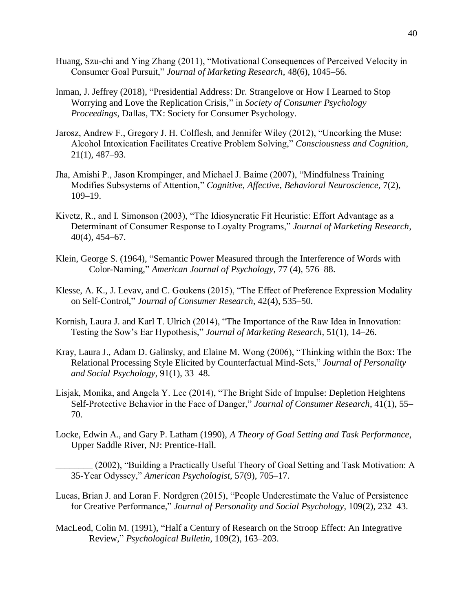- Huang, Szu-chi and Ying Zhang (2011), "Motivational Consequences of Perceived Velocity in Consumer Goal Pursuit," *Journal of Marketing Research*, 48(6), 1045–56.
- Inman, J. Jeffrey (2018), "Presidential Address: Dr. Strangelove or How I Learned to Stop Worrying and Love the Replication Crisis," in *Society of Consumer Psychology Proceedings*, Dallas, TX: Society for Consumer Psychology.
- Jarosz, Andrew F., Gregory J. H. Colflesh, and Jennifer Wiley (2012), "Uncorking the Muse: Alcohol Intoxication Facilitates Creative Problem Solving," *Consciousness and Cognition*, 21(1), 487–93.
- Jha, Amishi P., Jason Krompinger, and Michael J. Baime (2007), "Mindfulness Training Modifies Subsystems of Attention," *Cognitive, Affective, Behavioral Neuroscience*, 7(2), 109–19.
- Kivetz, R., and I. Simonson (2003), "The Idiosyncratic Fit Heuristic: Effort Advantage as a Determinant of Consumer Response to Loyalty Programs," *Journal of Marketing Research*, 40(4), 454–67.
- Klein, George S. (1964), "Semantic Power Measured through the Interference of Words with Color-Naming," *American Journal of Psychology*, 77 (4), 576–88.
- Klesse, A. K., J. Levav, and C. Goukens (2015), "The Effect of Preference Expression Modality on Self-Control," *Journal of Consumer Research*, 42(4), 535–50.
- Kornish, Laura J. and Karl T. Ulrich (2014), "The Importance of the Raw Idea in Innovation: Testing the Sow's Ear Hypothesis," *Journal of Marketing Research*, 51(1), 14–26.
- Kray, Laura J., Adam D. Galinsky, and Elaine M. Wong (2006), "Thinking within the Box: The Relational Processing Style Elicited by Counterfactual Mind-Sets," *Journal of Personality and Social Psychology*, 91(1), 33–48.
- Lisjak, Monika, and Angela Y. Lee (2014), "The Bright Side of Impulse: Depletion Heightens Self-Protective Behavior in the Face of Danger," *Journal of Consumer Research*, 41(1), 55– 70.
- Locke, Edwin A., and Gary P. Latham (1990), *A Theory of Goal Setting and Task Performance*, Upper Saddle River, NJ: Prentice-Hall.
	- \_\_\_\_\_\_\_\_ (2002), "Building a Practically Useful Theory of Goal Setting and Task Motivation: A 35-Year Odyssey," *American Psychologist*, 57(9), 705–17.
- Lucas, Brian J. and Loran F. Nordgren (2015), "People Underestimate the Value of Persistence for Creative Performance," *Journal of Personality and Social Psychology*, 109(2), 232–43.
- MacLeod, Colin M. (1991), "Half a Century of Research on the Stroop Effect: An Integrative Review," *Psychological Bulletin*, 109(2), 163–203.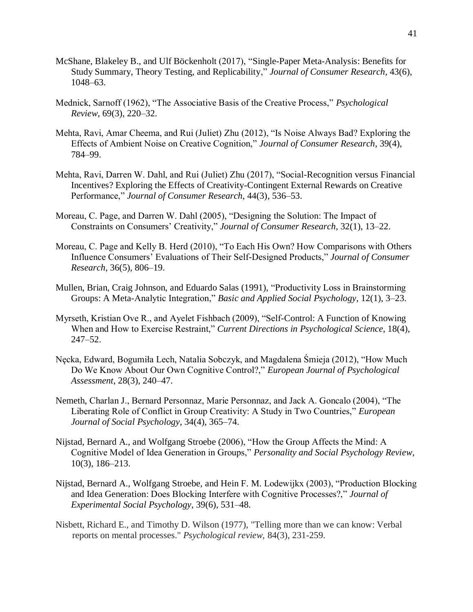- McShane, Blakeley B., and Ulf Böckenholt (2017), "Single-Paper Meta-Analysis: Benefits for Study Summary, Theory Testing, and Replicability," *Journal of Consumer Research*, 43(6), 1048–63.
- Mednick, Sarnoff (1962), "The Associative Basis of the Creative Process," *Psychological Review*, 69(3), 220–32.
- Mehta, Ravi, Amar Cheema, and Rui (Juliet) Zhu (2012), "Is Noise Always Bad? Exploring the Effects of Ambient Noise on Creative Cognition," *Journal of Consumer Research*, 39(4), 784–99.
- Mehta, Ravi, Darren W. Dahl, and Rui (Juliet) Zhu (2017), "Social-Recognition versus Financial Incentives? Exploring the Effects of Creativity-Contingent External Rewards on Creative Performance," *Journal of Consumer Research*, 44(3), 536–53.
- Moreau, C. Page, and Darren W. Dahl (2005), "Designing the Solution: The Impact of Constraints on Consumers' Creativity," *Journal of Consumer Research*, 32(1), 13–22.
- Moreau, C. Page and Kelly B. Herd (2010), "To Each His Own? How Comparisons with Others Influence Consumers' Evaluations of Their Self-Designed Products," *Journal of Consumer Research*, 36(5), 806–19.
- Mullen, Brian, Craig Johnson, and Eduardo Salas (1991), "Productivity Loss in Brainstorming Groups: A Meta-Analytic Integration," *Basic and Applied Social Psychology*, 12(1), 3–23.
- Myrseth, Kristian Ove R., and Ayelet Fishbach (2009), "Self-Control: A Function of Knowing When and How to Exercise Restraint," *Current Directions in Psychological Science*, 18(4), 247–52.
- Nęcka, Edward, Bogumiła Lech, Natalia Sobczyk, and Magdalena Śmieja (2012), "How Much Do We Know About Our Own Cognitive Control?," *European Journal of Psychological Assessment*, 28(3), 240–47.
- Nemeth, Charlan J., Bernard Personnaz, Marie Personnaz, and Jack A. Goncalo (2004), "The Liberating Role of Conflict in Group Creativity: A Study in Two Countries," *European Journal of Social Psychology*, 34(4), 365–74.
- Nijstad, Bernard A., and Wolfgang Stroebe (2006), "How the Group Affects the Mind: A Cognitive Model of Idea Generation in Groups," *Personality and Social Psychology Review*, 10(3), 186–213.
- Nijstad, Bernard A., Wolfgang Stroebe, and Hein F. M. Lodewijkx (2003), "Production Blocking and Idea Generation: Does Blocking Interfere with Cognitive Processes?," *Journal of Experimental Social Psychology*, 39(6), 531–48.
- Nisbett, Richard E., and Timothy D. Wilson (1977), "Telling more than we can know: Verbal reports on mental processes." *Psychological review,* 84(3), 231-259.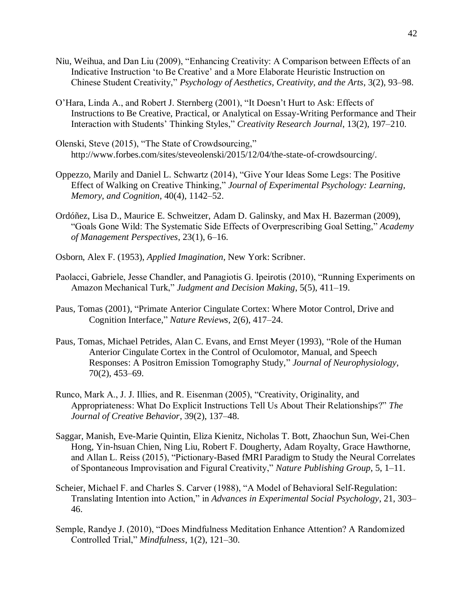- Niu, Weihua, and Dan Liu (2009), "Enhancing Creativity: A Comparison between Effects of an Indicative Instruction 'to Be Creative' and a More Elaborate Heuristic Instruction on Chinese Student Creativity," *Psychology of Aesthetics, Creativity, and the Arts*, 3(2), 93–98.
- O'Hara, Linda A., and Robert J. Sternberg (2001), "It Doesn't Hurt to Ask: Effects of Instructions to Be Creative, Practical, or Analytical on Essay-Writing Performance and Their Interaction with Students' Thinking Styles," *Creativity Research Journal*, 13(2), 197–210.
- Olenski, Steve (2015), "The State of Crowdsourcing," http://www.forbes.com/sites/steveolenski/2015/12/04/the-state-of-crowdsourcing/.
- Oppezzo, Marily and Daniel L. Schwartz (2014), "Give Your Ideas Some Legs: The Positive Effect of Walking on Creative Thinking," *Journal of Experimental Psychology: Learning, Memory, and Cognition*, 40(4), 1142–52.
- Ordóñez, Lisa D., Maurice E. Schweitzer, Adam D. Galinsky, and Max H. Bazerman (2009), "Goals Gone Wild: The Systematic Side Effects of Overprescribing Goal Setting," *Academy of Management Perspectives*, 23(1), 6–16.
- Osborn, Alex F. (1953), *Applied Imagination*, New York: Scribner.
- Paolacci, Gabriele, Jesse Chandler, and Panagiotis G. Ipeirotis (2010), "Running Experiments on Amazon Mechanical Turk," *Judgment and Decision Making*, 5(5), 411–19.
- Paus, Tomas (2001), "Primate Anterior Cingulate Cortex: Where Motor Control, Drive and Cognition Interface," *Nature Reviews*, 2(6), 417–24.
- Paus, Tomas, Michael Petrides, Alan C. Evans, and Ernst Meyer (1993), "Role of the Human Anterior Cingulate Cortex in the Control of Oculomotor, Manual, and Speech Responses: A Positron Emission Tomography Study," *Journal of Neurophysiology*, 70(2), 453–69.
- Runco, Mark A., J. J. Illies, and R. Eisenman (2005), "Creativity, Originality, and Appropriateness: What Do Explicit Instructions Tell Us About Their Relationships?" *The Journal of Creative Behavior*, 39(2), 137–48.
- Saggar, Manish, Eve-Marie Quintin, Eliza Kienitz, Nicholas T. Bott, Zhaochun Sun, Wei-Chen Hong, Yin-hsuan Chien, Ning Liu, Robert F. Dougherty, Adam Royalty, Grace Hawthorne, and Allan L. Reiss (2015), "Pictionary-Based fMRI Paradigm to Study the Neural Correlates of Spontaneous Improvisation and Figural Creativity," *Nature Publishing Group*, 5, 1–11.
- Scheier, Michael F. and Charles S. Carver (1988), "A Model of Behavioral Self-Regulation: Translating Intention into Action," in *Advances in Experimental Social Psychology*, 21, 303– 46.
- Semple, Randye J. (2010), "Does Mindfulness Meditation Enhance Attention? A Randomized Controlled Trial," *Mindfulness*, 1(2), 121–30.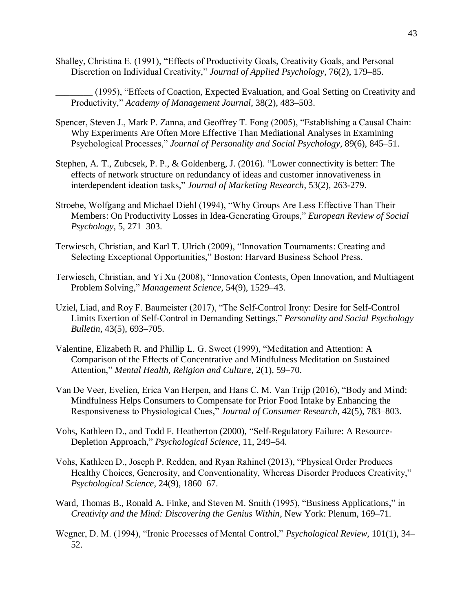Shalley, Christina E. (1991), "Effects of Productivity Goals, Creativity Goals, and Personal Discretion on Individual Creativity," *Journal of Applied Psychology*, 76(2), 179–85.

\_\_\_\_\_\_\_\_ (1995), "Effects of Coaction, Expected Evaluation, and Goal Setting on Creativity and Productivity," *Academy of Management Journal*, 38(2), 483–503.

- Spencer, Steven J., Mark P. Zanna, and Geoffrey T. Fong (2005), "Establishing a Causal Chain: Why Experiments Are Often More Effective Than Mediational Analyses in Examining Psychological Processes," *Journal of Personality and Social Psychology*, 89(6), 845–51.
- Stephen, A. T., Zubcsek, P. P., & Goldenberg, J. (2016). "Lower connectivity is better: The effects of network structure on redundancy of ideas and customer innovativeness in interdependent ideation tasks," *Journal of Marketing Research*, 53(2), 263-279.
- Stroebe, Wolfgang and Michael Diehl (1994), "Why Groups Are Less Effective Than Their Members: On Productivity Losses in Idea-Generating Groups," *European Review of Social Psychology*, 5, 271–303.
- Terwiesch, Christian, and Karl T. Ulrich (2009), "Innovation Tournaments: Creating and Selecting Exceptional Opportunities," Boston: Harvard Business School Press.
- Terwiesch, Christian, and Yi Xu (2008), "Innovation Contests, Open Innovation, and Multiagent Problem Solving," *Management Science*, 54(9), 1529–43.
- Uziel, Liad, and Roy F. Baumeister (2017), "The Self-Control Irony: Desire for Self-Control Limits Exertion of Self-Control in Demanding Settings," *Personality and Social Psychology Bulletin*, 43(5), 693–705.
- Valentine, Elizabeth R. and Phillip L. G. Sweet (1999), "Meditation and Attention: A Comparison of the Effects of Concentrative and Mindfulness Meditation on Sustained Attention," *Mental Health, Religion and Culture*, 2(1), 59–70.
- Van De Veer, Evelien, Erica Van Herpen, and Hans C. M. Van Trijp (2016), "Body and Mind: Mindfulness Helps Consumers to Compensate for Prior Food Intake by Enhancing the Responsiveness to Physiological Cues," *Journal of Consumer Research*, 42(5), 783–803.
- Vohs, Kathleen D., and Todd F. Heatherton (2000), "Self-Regulatory Failure: A Resource-Depletion Approach," *Psychological Science*, 11, 249–54.
- Vohs, Kathleen D., Joseph P. Redden, and Ryan Rahinel (2013), "Physical Order Produces Healthy Choices, Generosity, and Conventionality, Whereas Disorder Produces Creativity," *Psychological Science*, 24(9), 1860–67.
- Ward, Thomas B., Ronald A. Finke, and Steven M. Smith (1995), "Business Applications," in *Creativity and the Mind: Discovering the Genius Within*, New York: Plenum, 169–71.
- Wegner, D. M. (1994), "Ironic Processes of Mental Control," *Psychological Review*, 101(1), 34– 52.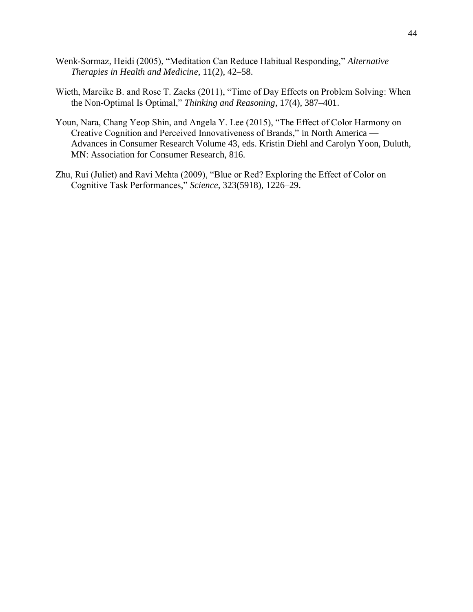- Wenk-Sormaz, Heidi (2005), "Meditation Can Reduce Habitual Responding," *Alternative Therapies in Health and Medicine*, 11(2), 42–58.
- Wieth, Mareike B. and Rose T. Zacks (2011), "Time of Day Effects on Problem Solving: When the Non-Optimal Is Optimal," *Thinking and Reasoning*, 17(4), 387–401.
- Youn, Nara, Chang Yeop Shin, and Angela Y. Lee (2015), "The Effect of Color Harmony on Creative Cognition and Perceived Innovativeness of Brands," in North America — Advances in Consumer Research Volume 43, eds. Kristin Diehl and Carolyn Yoon, Duluth, MN: Association for Consumer Research, 816.
- Zhu, Rui (Juliet) and Ravi Mehta (2009), "Blue or Red? Exploring the Effect of Color on Cognitive Task Performances," *Science*, 323(5918), 1226–29.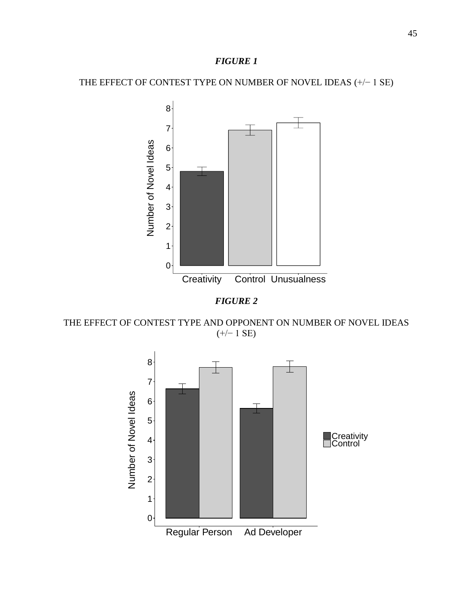THE EFFECT OF CONTEST TYPE ON NUMBER OF NOVEL IDEAS (+/− 1 SE)





THE EFFECT OF CONTEST TYPE AND OPPONENT ON NUMBER OF NOVEL IDEAS (+/− 1 SE)

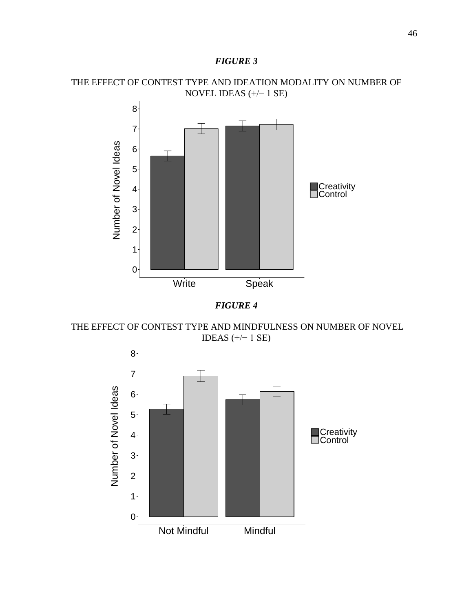







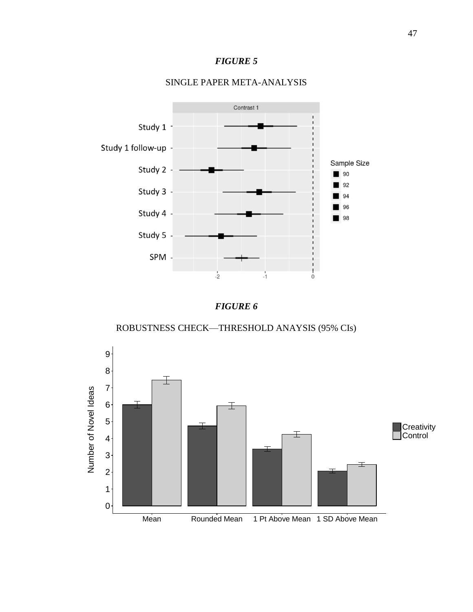

# SINGLE PAPER META-ANALYSIS



ROBUSTNESS CHECK—THRESHOLD ANAYSIS (95% CIs)

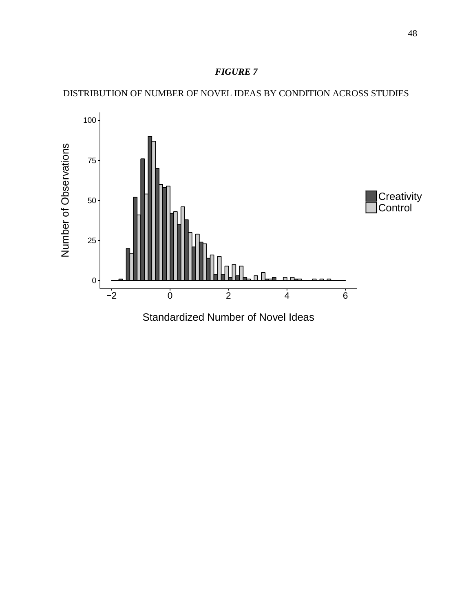

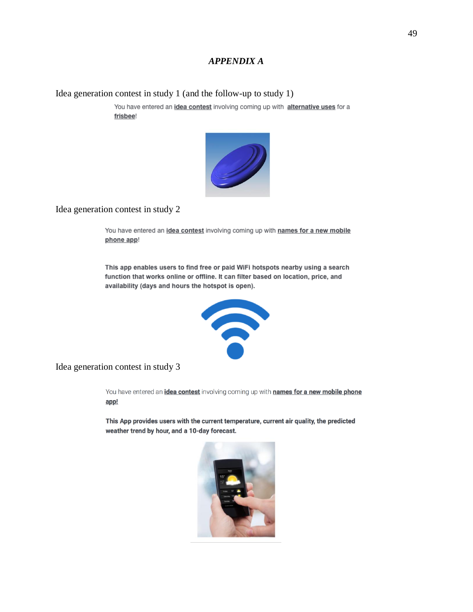## *APPENDIX A*

Idea generation contest in study 1 (and the follow-up to study 1)

You have entered an *idea contest* involving coming up with alternative uses for a frisbee!



## Idea generation contest in study 2

You have entered an idea contest involving coming up with names for a new mobile phone app!

This app enables users to find free or paid WiFi hotspots nearby using a search function that works online or offline. It can filter based on location, price, and availability (days and hours the hotspot is open).



Idea generation contest in study 3

You have entered an *idea contest* involving coming up with **names for a new mobile phone** app!

This App provides users with the current temperature, current air quality, the predicted weather trend by hour, and a 10-day forecast.

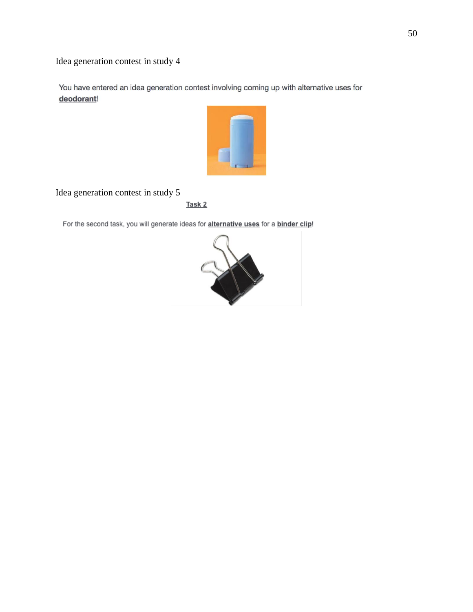Idea generation contest in study 4

You have entered an idea generation contest involving coming up with alternative uses for deodorant!



# Idea generation contest in study 5

Task<sub>2</sub>

For the second task, you will generate ideas for alternative uses for a binder clip!

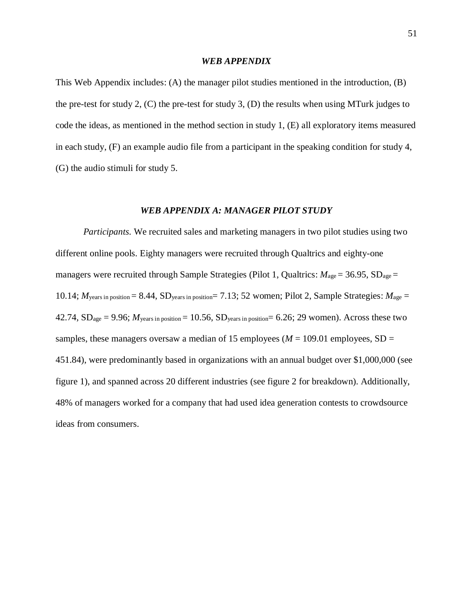### *WEB APPENDIX*

This Web Appendix includes: (A) the manager pilot studies mentioned in the introduction, (B) the pre-test for study 2,  $(C)$  the pre-test for study 3,  $(D)$  the results when using MTurk judges to code the ideas, as mentioned in the method section in study 1, (E) all exploratory items measured in each study, (F) an example audio file from a participant in the speaking condition for study 4, (G) the audio stimuli for study 5.

### *WEB APPENDIX A: MANAGER PILOT STUDY*

*Participants.* We recruited sales and marketing managers in two pilot studies using two different online pools. Eighty managers were recruited through Qualtrics and eighty-one managers were recruited through Sample Strategies (Pilot 1, Qualtrics:  $M_{\text{age}} = 36.95$ , SD<sub>age</sub> = 10.14; *M*years in position = 8.44, SDyears in position= 7.13; 52 women; Pilot 2, Sample Strategies: *M*age = 42.74,  $SD<sub>age</sub> = 9.96$ ;  $M<sub>years</sub>$  in position = 10.56,  $SD<sub>years</sub>$  in position = 6.26; 29 women). Across these two samples, these managers oversaw a median of 15 employees ( $M = 109.01$  employees, SD = 451.84), were predominantly based in organizations with an annual budget over \$1,000,000 (see figure 1), and spanned across 20 different industries (see figure 2 for breakdown). Additionally, 48% of managers worked for a company that had used idea generation contests to crowdsource ideas from consumers.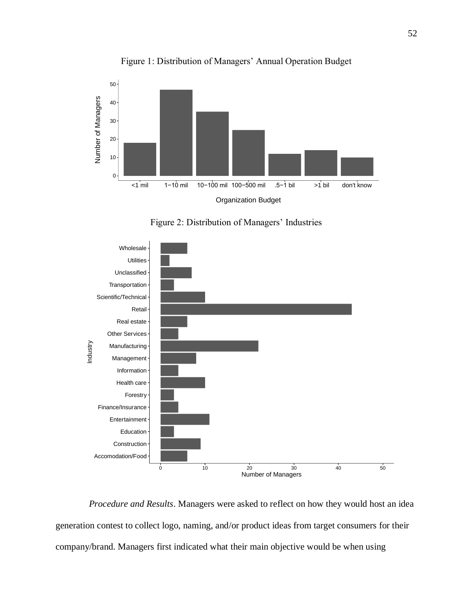

Figure 1: Distribution of Managers' Annual Operation Budget





*Procedure and Results*. Managers were asked to reflect on how they would host an idea generation contest to collect logo, naming, and/or product ideas from target consumers for their company/brand. Managers first indicated what their main objective would be when using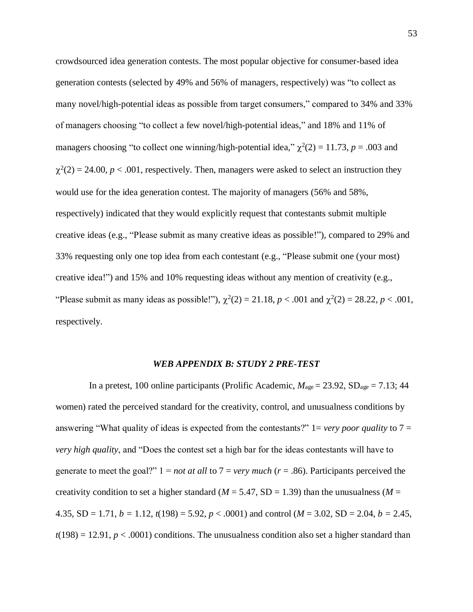crowdsourced idea generation contests. The most popular objective for consumer-based idea generation contests (selected by 49% and 56% of managers, respectively) was "to collect as many novel/high-potential ideas as possible from target consumers," compared to 34% and 33% of managers choosing "to collect a few novel/high-potential ideas," and 18% and 11% of managers choosing "to collect one winning/high-potential idea,"  $\chi^2(2) = 11.73$ ,  $p = .003$  and  $\chi^2(2) = 24.00, p < .001$ , respectively. Then, managers were asked to select an instruction they would use for the idea generation contest. The majority of managers (56% and 58%, respectively) indicated that they would explicitly request that contestants submit multiple creative ideas (e.g., "Please submit as many creative ideas as possible!"), compared to 29% and 33% requesting only one top idea from each contestant (e.g., "Please submit one (your most) creative idea!") and 15% and 10% requesting ideas without any mention of creativity (e.g., "Please submit as many ideas as possible!"),  $\chi^2(2) = 21.18$ ,  $p < .001$  and  $\chi^2(2) = 28.22$ ,  $p < .001$ , respectively.

### *WEB APPENDIX B: STUDY 2 PRE-TEST*

In a pretest, 100 online participants (Prolific Academic,  $M_{\text{age}} = 23.92$ ,  $SD_{\text{age}} = 7.13$ ; 44 women) rated the perceived standard for the creativity, control, and unusualness conditions by answering "What quality of ideas is expected from the contestants?" 1= *very poor quality* to 7 = *very high quality*, and "Does the contest set a high bar for the ideas contestants will have to generate to meet the goal?"  $1 = not$  at all to  $7 = very$  much  $(r = .86)$ . Participants perceived the creativity condition to set a higher standard ( $M = 5.47$ , SD = 1.39) than the unusualness ( $M =$ 4.35, SD = 1.71,  $b = 1.12$ ,  $t(198) = 5.92$ ,  $p < .0001$ ) and control ( $M = 3.02$ , SD = 2.04,  $b = 2.45$ ,  $t(198) = 12.91, p < .0001$ ) conditions. The unusualness condition also set a higher standard than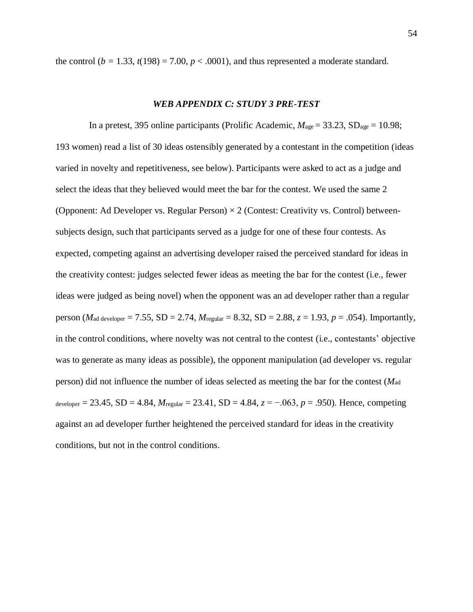the control ( $b = 1.33$ ,  $t(198) = 7.00$ ,  $p < .0001$ ), and thus represented a moderate standard.

### *WEB APPENDIX C: STUDY 3 PRE-TEST*

In a pretest, 395 online participants (Prolific Academic,  $M_{\text{age}} = 33.23$ , SD<sub>age</sub> = 10.98; 193 women) read a list of 30 ideas ostensibly generated by a contestant in the competition (ideas varied in novelty and repetitiveness, see below). Participants were asked to act as a judge and select the ideas that they believed would meet the bar for the contest. We used the same 2 (Opponent: Ad Developer vs. Regular Person)  $\times$  2 (Contest: Creativity vs. Control) betweensubjects design, such that participants served as a judge for one of these four contests. As expected, competing against an advertising developer raised the perceived standard for ideas in the creativity contest: judges selected fewer ideas as meeting the bar for the contest (i.e., fewer ideas were judged as being novel) when the opponent was an ad developer rather than a regular person (*M*<sub>ad developer</sub> = 7.55, SD = 2.74, *M*<sub>regular</sub> = 8.32, SD = 2.88,  $z = 1.93$ ,  $p = .054$ ). Importantly, in the control conditions, where novelty was not central to the contest (i.e., contestants' objective was to generate as many ideas as possible), the opponent manipulation (ad developer vs. regular person) did not influence the number of ideas selected as meeting the bar for the contest (*M*ad developer = 23.45, SD = 4.84, *M*regular = 23.41, SD = 4.84, *z* = −.063, *p* = .950). Hence, competing against an ad developer further heightened the perceived standard for ideas in the creativity conditions, but not in the control conditions.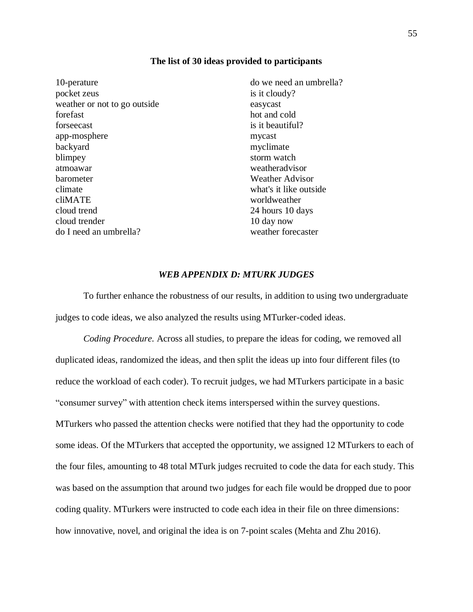### **The list of 30 ideas provided to participants**

| 10-perature                  | do we need an umbrella? |
|------------------------------|-------------------------|
| pocket zeus                  | is it cloudy?           |
| weather or not to go outside | easycast                |
| forefast                     | hot and cold            |
| forseecast                   | is it beautiful?        |
| app-mosphere                 | mycast                  |
| backyard                     | myclimate               |
| blimpey                      | storm watch             |
| atmoawar                     | weatheradvisor          |
| barometer                    | <b>Weather Advisor</b>  |
| climate                      | what's it like outside. |
| cliMATE                      | worldweather            |
| cloud trend                  | 24 hours 10 days        |
| cloud trender                | 10 day now              |
| do I need an umbrella?       | weather forecaster      |

### *WEB APPENDIX D: MTURK JUDGES*

To further enhance the robustness of our results, in addition to using two undergraduate judges to code ideas, we also analyzed the results using MTurker-coded ideas.

*Coding Procedure.* Across all studies, to prepare the ideas for coding, we removed all duplicated ideas, randomized the ideas, and then split the ideas up into four different files (to reduce the workload of each coder). To recruit judges, we had MTurkers participate in a basic "consumer survey" with attention check items interspersed within the survey questions. MTurkers who passed the attention checks were notified that they had the opportunity to code some ideas. Of the MTurkers that accepted the opportunity, we assigned 12 MTurkers to each of the four files, amounting to 48 total MTurk judges recruited to code the data for each study. This was based on the assumption that around two judges for each file would be dropped due to poor coding quality. MTurkers were instructed to code each idea in their file on three dimensions: how innovative, novel, and original the idea is on 7-point scales (Mehta and Zhu 2016).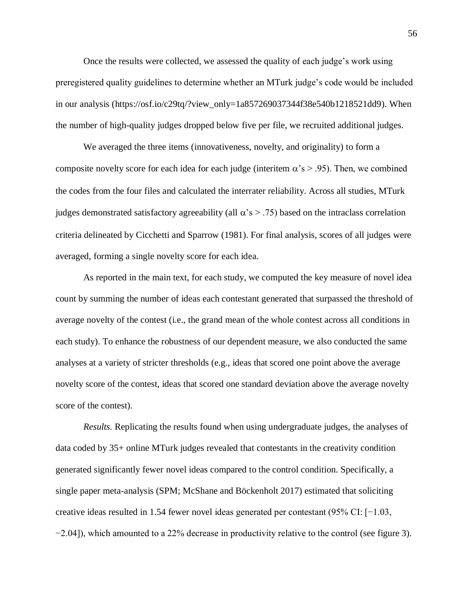Once the results were collected, we assessed the quality of each judge's work using preregistered quality guidelines to determine whether an MTurk judge's code would be included in our analysis (https://osf.io/c29tq/?view\_only=1a857269037344f38e540b1218521dd9). When the number of high-quality judges dropped below five per file, we recruited additional judges.

We averaged the three items (innovativeness, novelty, and originality) to form a composite novelty score for each idea for each judge (interitem  $\alpha$ 's > .95). Then, we combined the codes from the four files and calculated the interrater reliability. Across all studies, MTurk judges demonstrated satisfactory agreeability (all  $\alpha$ 's  $>$  .75) based on the intraclass correlation criteria delineated by Cicchetti and Sparrow (1981). For final analysis, scores of all judges were averaged, forming a single novelty score for each idea.

As reported in the main text, for each study, we computed the key measure of novel idea count by summing the number of ideas each contestant generated that surpassed the threshold of average novelty of the contest (i.e., the grand mean of the whole contest across all conditions in each study). To enhance the robustness of our dependent measure, we also conducted the same analyses at a variety of stricter thresholds (e.g., ideas that scored one point above the average novelty score of the contest, ideas that scored one standard deviation above the average novelty score of the contest).

*Results.* Replicating the results found when using undergraduate judges, the analyses of data coded by 35+ online MTurk judges revealed that contestants in the creativity condition generated significantly fewer novel ideas compared to the control condition. Specifically, a single paper meta-analysis (SPM; McShane and Böckenholt 2017) estimated that soliciting creative ideas resulted in 1.54 fewer novel ideas generated per contestant (95% CI: [−1.03, −2.04]), which amounted to a 22% decrease in productivity relative to the control (see figure 3).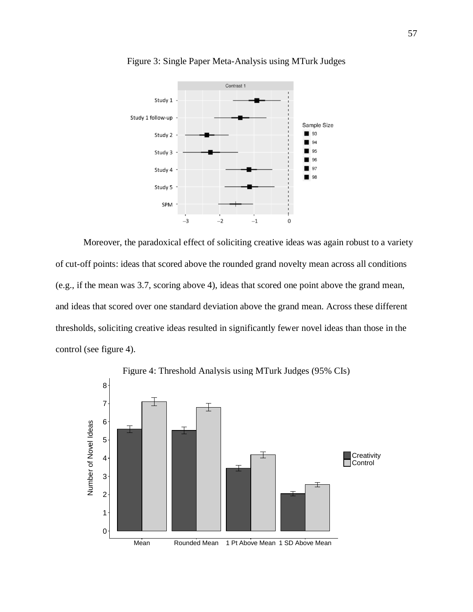

Figure 3: Single Paper Meta-Analysis using MTurk Judges

Moreover, the paradoxical effect of soliciting creative ideas was again robust to a variety of cut-off points: ideas that scored above the rounded grand novelty mean across all conditions (e.g., if the mean was 3.7, scoring above 4), ideas that scored one point above the grand mean, and ideas that scored over one standard deviation above the grand mean. Across these different thresholds, soliciting creative ideas resulted in significantly fewer novel ideas than those in the control (see figure 4).

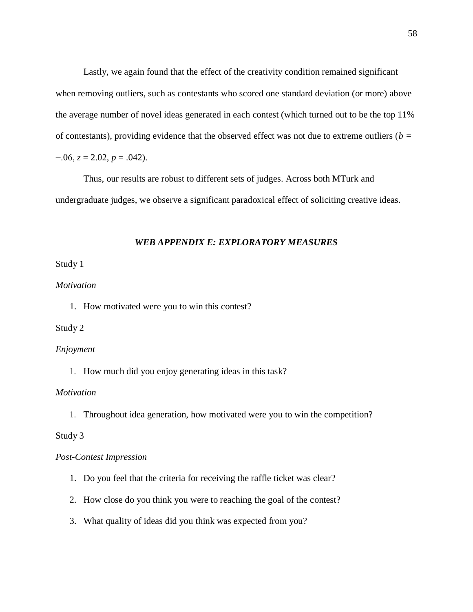Lastly, we again found that the effect of the creativity condition remained significant when removing outliers, such as contestants who scored one standard deviation (or more) above the average number of novel ideas generated in each contest (which turned out to be the top 11% of contestants), providing evidence that the observed effect was not due to extreme outliers (*b =*  $-0.06$ ,  $z = 2.02$ ,  $p = 0.042$ ).

Thus, our results are robust to different sets of judges. Across both MTurk and undergraduate judges, we observe a significant paradoxical effect of soliciting creative ideas.

### *WEB APPENDIX E: EXPLORATORY MEASURES*

## Study 1

## *Motivation*

1. How motivated were you to win this contest?

### Study 2

### *Enjoyment*

1. How much did you enjoy generating ideas in this task?

## *Motivation*

1. Throughout idea generation, how motivated were you to win the competition?

### Study 3

## *Post-Contest Impression*

- 1. Do you feel that the criteria for receiving the raffle ticket was clear?
- 2. How close do you think you were to reaching the goal of the contest?
- 3. What quality of ideas did you think was expected from you?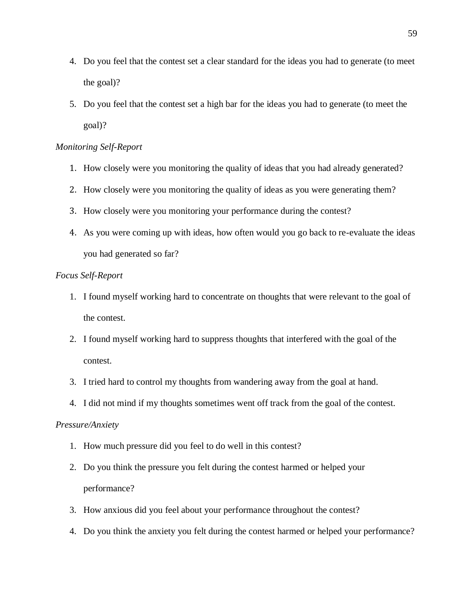- 4. Do you feel that the contest set a clear standard for the ideas you had to generate (to meet the goal)?
- 5. Do you feel that the contest set a high bar for the ideas you had to generate (to meet the goal)?

## *Monitoring Self-Report*

- 1. How closely were you monitoring the quality of ideas that you had already generated?
- 2. How closely were you monitoring the quality of ideas as you were generating them?
- 3. How closely were you monitoring your performance during the contest?
- 4. As you were coming up with ideas, how often would you go back to re-evaluate the ideas you had generated so far?

### *Focus Self-Report*

- 1. I found myself working hard to concentrate on thoughts that were relevant to the goal of the contest.
- 2. I found myself working hard to suppress thoughts that interfered with the goal of the contest.
- 3. I tried hard to control my thoughts from wandering away from the goal at hand.
- 4. I did not mind if my thoughts sometimes went off track from the goal of the contest.

## *Pressure/Anxiety*

- 1. How much pressure did you feel to do well in this contest?
- 2. Do you think the pressure you felt during the contest harmed or helped your performance?
- 3. How anxious did you feel about your performance throughout the contest?
- 4. Do you think the anxiety you felt during the contest harmed or helped your performance?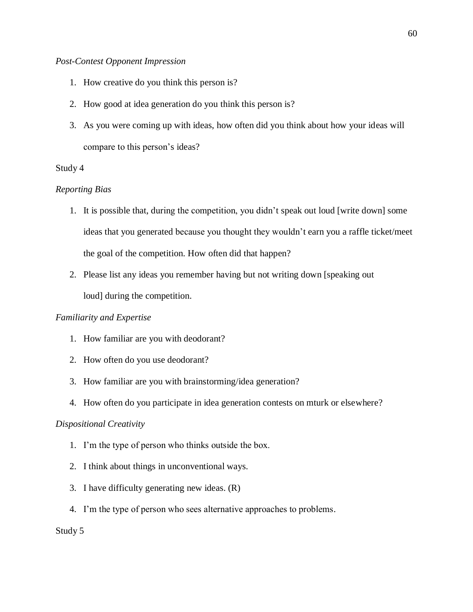## *Post-Contest Opponent Impression*

- 1. How creative do you think this person is?
- 2. How good at idea generation do you think this person is?
- 3. As you were coming up with ideas, how often did you think about how your ideas will compare to this person's ideas?

## Study 4

## *Reporting Bias*

- 1. It is possible that, during the competition, you didn't speak out loud [write down] some ideas that you generated because you thought they wouldn't earn you a raffle ticket/meet the goal of the competition. How often did that happen?
- 2. Please list any ideas you remember having but not writing down [speaking out loud] during the competition.

## *Familiarity and Expertise*

- 1. How familiar are you with deodorant?
- 2. How often do you use deodorant?
- 3. How familiar are you with brainstorming/idea generation?
- 4. How often do you participate in idea generation contests on mturk or elsewhere?

## *Dispositional Creativity*

- 1. I'm the type of person who thinks outside the box.
- 2. I think about things in unconventional ways.
- 3. I have difficulty generating new ideas. (R)
- 4. I'm the type of person who sees alternative approaches to problems.

## Study 5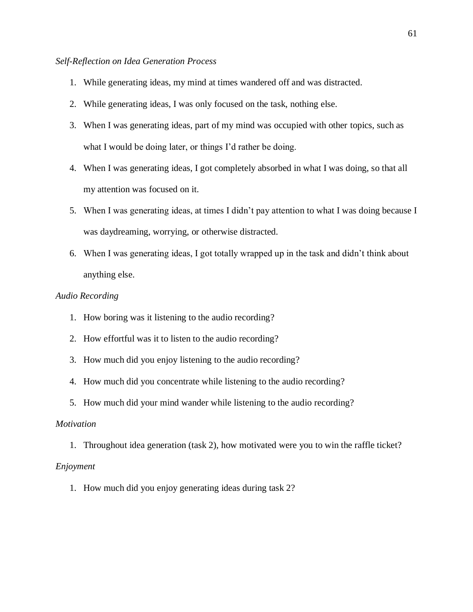## *Self-Reflection on Idea Generation Process*

- 1. While generating ideas, my mind at times wandered off and was distracted.
- 2. While generating ideas, I was only focused on the task, nothing else.
- 3. When I was generating ideas, part of my mind was occupied with other topics, such as what I would be doing later, or things I'd rather be doing.
- 4. When I was generating ideas, I got completely absorbed in what I was doing, so that all my attention was focused on it.
- 5. When I was generating ideas, at times I didn't pay attention to what I was doing because I was daydreaming, worrying, or otherwise distracted.
- 6. When I was generating ideas, I got totally wrapped up in the task and didn't think about anything else.

### *Audio Recording*

- 1. How boring was it listening to the audio recording?
- 2. How effortful was it to listen to the audio recording?
- 3. How much did you enjoy listening to the audio recording?
- 4. How much did you concentrate while listening to the audio recording?
- 5. How much did your mind wander while listening to the audio recording?

## *Motivation*

1. Throughout idea generation (task 2), how motivated were you to win the raffle ticket?

### *Enjoyment*

1. How much did you enjoy generating ideas during task 2?